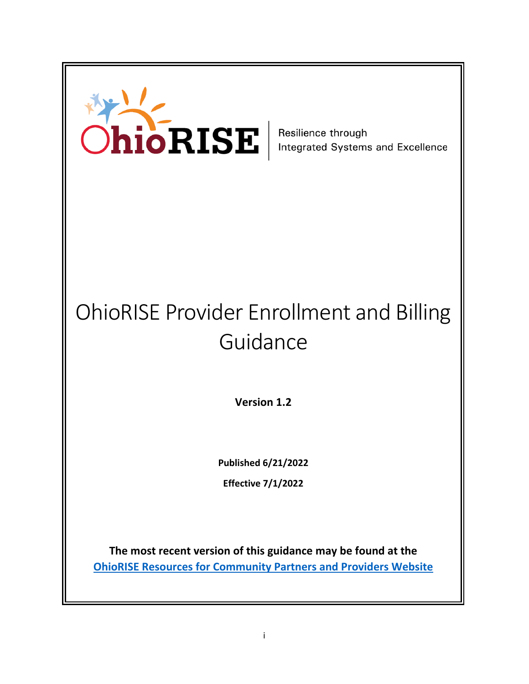

# OhioRISE Provider Enrollment and Billing Guidance

**Version 1.2**

**Published 6/21/2022**

**Effective 7/1/2022**

**The most recent version of this guidance may be found at the [OhioRISE Resources for Community Partners and Providers Website](https://managedcare.medicaid.ohio.gov/managed-care/ohiorise/6-Community+and+Provider+Resources)**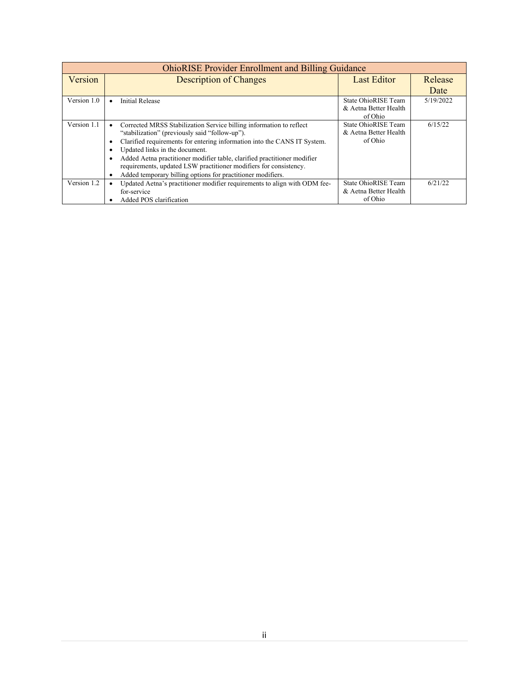| <b>OhioRISE Provider Enrollment and Billing Guidance</b> |                                                                           |                       |           |  |  |  |
|----------------------------------------------------------|---------------------------------------------------------------------------|-----------------------|-----------|--|--|--|
| Version                                                  | <b>Description of Changes</b>                                             | <b>Last Editor</b>    | Release   |  |  |  |
|                                                          |                                                                           |                       | Date      |  |  |  |
| Version 1.0                                              | <b>Initial Release</b><br>$\bullet$                                       | State OhioRISE Team   | 5/19/2022 |  |  |  |
|                                                          |                                                                           | & Aetna Better Health |           |  |  |  |
|                                                          |                                                                           | of Ohio               |           |  |  |  |
| Version 1.1                                              | Corrected MRSS Stabilization Service billing information to reflect       | State OhioRISE Team   | 6/15/22   |  |  |  |
|                                                          | "stabilization" (previously said "follow-up").                            | & Aetna Better Health |           |  |  |  |
|                                                          | Clarified requirements for entering information into the CANS IT System.  | of Ohio               |           |  |  |  |
|                                                          | Updated links in the document.                                            |                       |           |  |  |  |
|                                                          | Added Aetna practitioner modifier table, clarified practitioner modifier  |                       |           |  |  |  |
|                                                          | requirements, updated LSW practitioner modifiers for consistency.         |                       |           |  |  |  |
|                                                          | Added temporary billing options for practitioner modifiers.               |                       |           |  |  |  |
| Version 1.2                                              | Updated Aetna's practitioner modifier requirements to align with ODM fee- | State OhioRISE Team   | 6/21/22   |  |  |  |
|                                                          | for-service                                                               | & Aetna Better Health |           |  |  |  |
|                                                          | Added POS clarification                                                   | of Ohio               |           |  |  |  |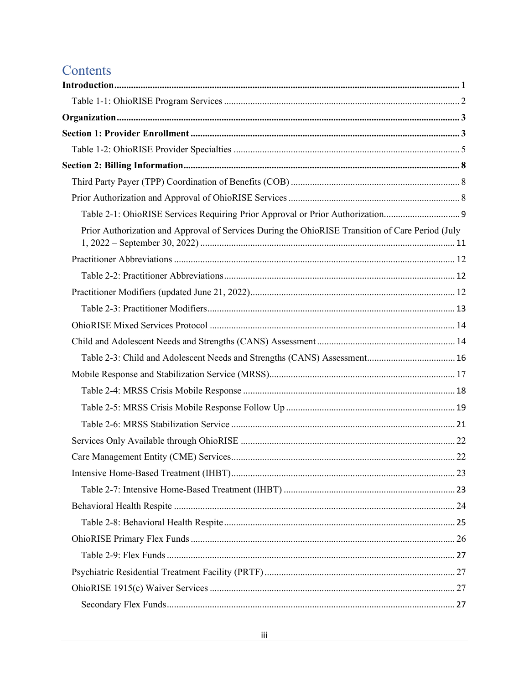## Contents

| Table 2-1: OhioRISE Services Requiring Prior Approval or Prior Authorization                     |  |
|--------------------------------------------------------------------------------------------------|--|
| Prior Authorization and Approval of Services During the OhioRISE Transition of Care Period (July |  |
|                                                                                                  |  |
|                                                                                                  |  |
|                                                                                                  |  |
|                                                                                                  |  |
|                                                                                                  |  |
|                                                                                                  |  |
| Table 2-3: Child and Adolescent Needs and Strengths (CANS) Assessment 16                         |  |
|                                                                                                  |  |
|                                                                                                  |  |
|                                                                                                  |  |
|                                                                                                  |  |
|                                                                                                  |  |
|                                                                                                  |  |
|                                                                                                  |  |
|                                                                                                  |  |
|                                                                                                  |  |
|                                                                                                  |  |
|                                                                                                  |  |
|                                                                                                  |  |
|                                                                                                  |  |
|                                                                                                  |  |
|                                                                                                  |  |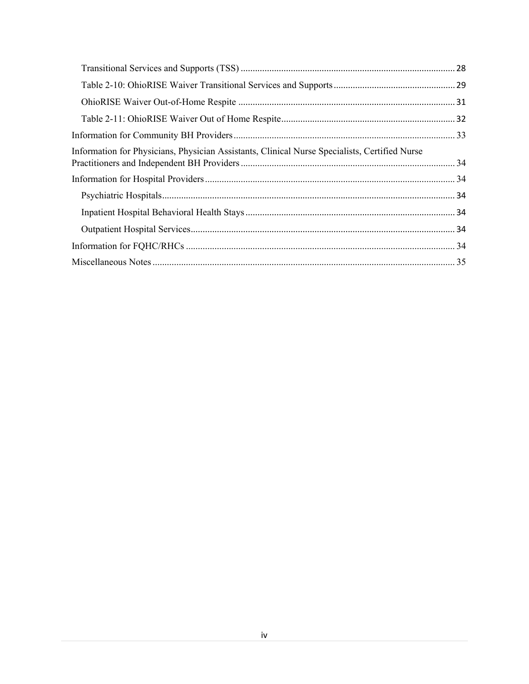| Information for Physicians, Physician Assistants, Clinical Nurse Specialists, Certified Nurse |  |
|-----------------------------------------------------------------------------------------------|--|
|                                                                                               |  |
|                                                                                               |  |
|                                                                                               |  |
|                                                                                               |  |
|                                                                                               |  |
|                                                                                               |  |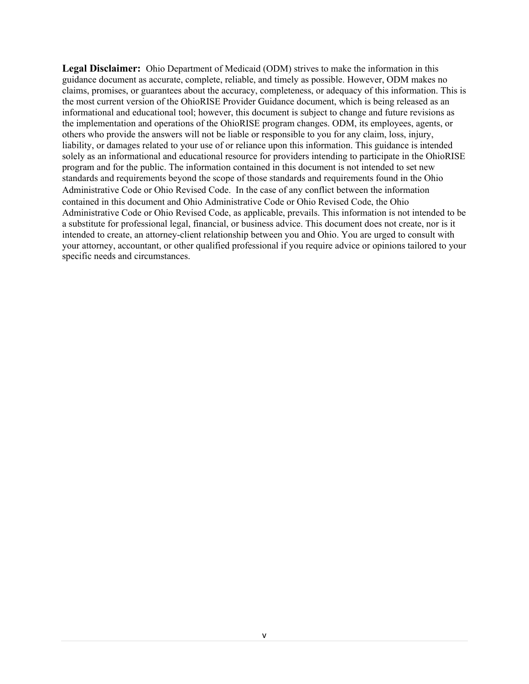**Legal Disclaimer:** Ohio Department of Medicaid (ODM) strives to make the information in this guidance document as accurate, complete, reliable, and timely as possible. However, ODM makes no claims, promises, or guarantees about the accuracy, completeness, or adequacy of this information. This is the most current version of the OhioRISE Provider Guidance document, which is being released as an informational and educational tool; however, this document is subject to change and future revisions as the implementation and operations of the OhioRISE program changes. ODM, its employees, agents, or others who provide the answers will not be liable or responsible to you for any claim, loss, injury, liability, or damages related to your use of or reliance upon this information. This guidance is intended solely as an informational and educational resource for providers intending to participate in the OhioRISE program and for the public. The information contained in this document is not intended to set new standards and requirements beyond the scope of those standards and requirements found in the Ohio Administrative Code or Ohio Revised Code. In the case of any conflict between the information contained in this document and Ohio Administrative Code or Ohio Revised Code, the Ohio Administrative Code or Ohio Revised Code, as applicable, prevails. This information is not intended to be a substitute for professional legal, financial, or business advice. This document does not create, nor is it intended to create, an attorney-client relationship between you and Ohio. You are urged to consult with your attorney, accountant, or other qualified professional if you require advice or opinions tailored to your specific needs and circumstances.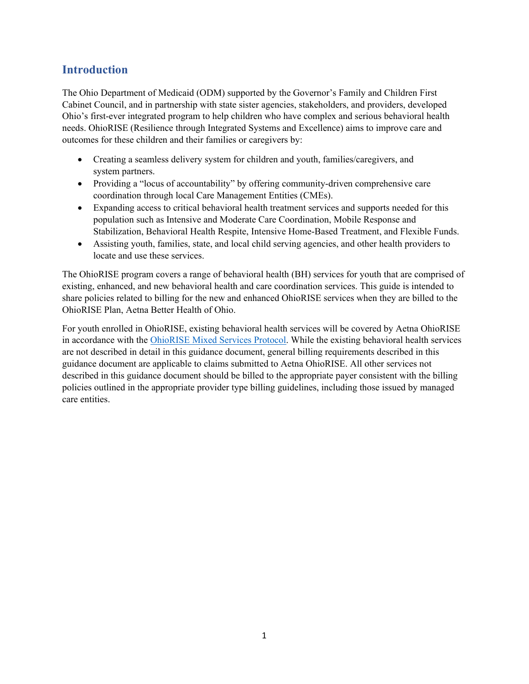## <span id="page-5-0"></span>**Introduction**

The Ohio Department of Medicaid (ODM) supported by the Governor's Family and Children First Cabinet Council, and in partnership with state sister agencies, stakeholders, and providers, developed Ohio's first-ever integrated program to help children who have complex and serious behavioral health needs. OhioRISE (Resilience through Integrated Systems and Excellence) aims to improve care and outcomes for these children and their families or caregivers by:

- Creating a seamless delivery system for children and youth, families/caregivers, and system partners.
- Providing a "locus of accountability" by offering community-driven comprehensive care coordination through local Care Management Entities (CMEs).
- Expanding access to critical behavioral health treatment services and supports needed for this population such as Intensive and Moderate Care Coordination, Mobile Response and Stabilization, Behavioral Health Respite, Intensive Home-Based Treatment, and Flexible Funds.
- Assisting youth, families, state, and local child serving agencies, and other health providers to locate and use these services.

The OhioRISE program covers a range of behavioral health (BH) services for youth that are comprised of existing, enhanced, and new behavioral health and care coordination services. This guide is intended to share policies related to billing for the new and enhanced OhioRISE services when they are billed to the OhioRISE Plan, Aetna Better Health of Ohio.

For youth enrolled in OhioRISE, existing behavioral health services will be covered by Aetna OhioRISE in accordance with the [OhioRISE Mixed Services Protocol.](https://managedcare.medicaid.ohio.gov/wps/wcm/connect/gov/66beb0f3-0b72-482e-8c17-1c981c175842/OHR+Mixed+Services+Protocol+5.31.2022.pdf?MOD=AJPERES&CVID=o4rc-Pu) While the existing behavioral health services are not described in detail in this guidance document, general billing requirements described in this guidance document are applicable to claims submitted to Aetna OhioRISE. All other services not described in this guidance document should be billed to the appropriate payer consistent with the billing policies outlined in the appropriate provider type billing guidelines, including those issued by managed care entities.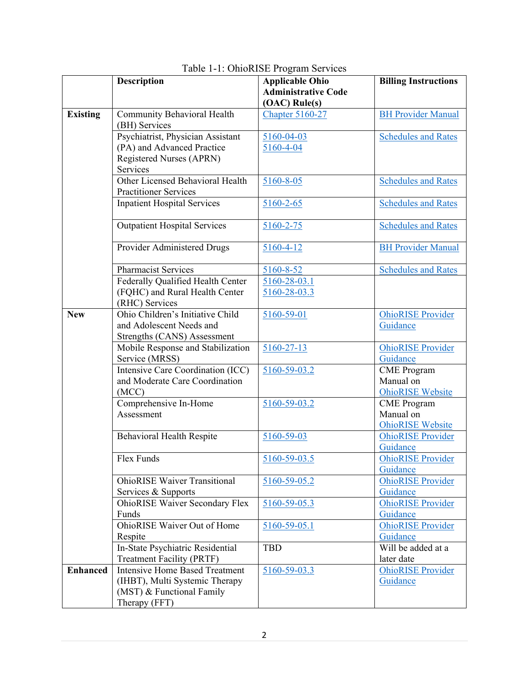<span id="page-6-0"></span>

|                 | <b>Description</b>                           | <b>Applicable Ohio</b>     | <b>Billing Instructions</b> |
|-----------------|----------------------------------------------|----------------------------|-----------------------------|
|                 |                                              | <b>Administrative Code</b> |                             |
|                 |                                              | (OAC) Rule(s)              |                             |
| <b>Existing</b> | Community Behavioral Health<br>(BH) Services | <b>Chapter 5160-27</b>     | <b>BH Provider Manual</b>   |
|                 | Psychiatrist, Physician Assistant            | 5160-04-03                 | <b>Schedules and Rates</b>  |
|                 | (PA) and Advanced Practice                   | 5160-4-04                  |                             |
|                 | Registered Nurses (APRN)                     |                            |                             |
|                 | Services                                     |                            |                             |
|                 | Other Licensed Behavioral Health             | 5160-8-05                  | <b>Schedules and Rates</b>  |
|                 | <b>Practitioner Services</b>                 |                            |                             |
|                 | Inpatient Hospital Services                  | 5160-2-65                  | <b>Schedules and Rates</b>  |
|                 | <b>Outpatient Hospital Services</b>          | $5160 - 2 - 75$            | <b>Schedules and Rates</b>  |
|                 | Provider Administered Drugs                  | $5160 - 4 - 12$            | <b>BH Provider Manual</b>   |
|                 | Pharmacist Services                          | 5160-8-52                  | <b>Schedules and Rates</b>  |
|                 | Federally Qualified Health Center            | 5160-28-03.1               |                             |
|                 | (FQHC) and Rural Health Center               | $5160 - 28 - 03.3$         |                             |
|                 | (RHC) Services                               |                            |                             |
| <b>New</b>      | Ohio Children's Initiative Child             | 5160-59-01                 | <b>OhioRISE</b> Provider    |
|                 | and Adolescent Needs and                     |                            | Guidance                    |
|                 | Strengths (CANS) Assessment                  |                            |                             |
|                 | Mobile Response and Stabilization            | $5160 - 27 - 13$           | <b>OhioRISE</b> Provider    |
|                 | Service (MRSS)                               |                            | Guidance                    |
|                 | Intensive Care Coordination (ICC)            | 5160-59-03.2               | <b>CME</b> Program          |
|                 | and Moderate Care Coordination               |                            | Manual on                   |
|                 | (MCC)                                        |                            | <b>OhioRISE</b> Website     |
|                 | Comprehensive In-Home                        | 5160-59-03.2               | <b>CME</b> Program          |
|                 | Assessment                                   |                            | Manual on                   |
|                 |                                              |                            | <b>OhioRISE</b> Website     |
|                 | Behavioral Health Respite                    | 5160-59-03                 | <b>OhioRISE</b> Provider    |
|                 |                                              |                            | Guidance                    |
|                 | Flex Funds                                   | 5160-59-03.5               | <b>OhioRISE</b> Provider    |
|                 |                                              |                            | Guidance                    |
|                 | <b>OhioRISE Waiver Transitional</b>          | 5160-59-05.2               | <b>OhioRISE</b> Provider    |
|                 | Services & Supports                          |                            | Guidance                    |
|                 | <b>OhioRISE Waiver Secondary Flex</b>        | 5160-59-05.3               | <b>OhioRISE Provider</b>    |
|                 | Funds                                        |                            | Guidance                    |
|                 | <b>OhioRISE Waiver Out of Home</b>           | 5160-59-05.1               | <b>OhioRISE</b> Provider    |
|                 | Respite                                      |                            | Guidance                    |
|                 | In-State Psychiatric Residential             | <b>TBD</b>                 | Will be added at a          |
|                 | <b>Treatment Facility (PRTF)</b>             |                            | later date                  |
| <b>Enhanced</b> | <b>Intensive Home Based Treatment</b>        | 5160-59-03.3               | <b>OhioRISE</b> Provider    |
|                 | (IHBT), Multi Systemic Therapy               |                            | Guidance                    |
|                 | (MST) & Functional Family                    |                            |                             |
|                 | Therapy (FFT)                                |                            |                             |

### Table 1-1: OhioRISE Program Services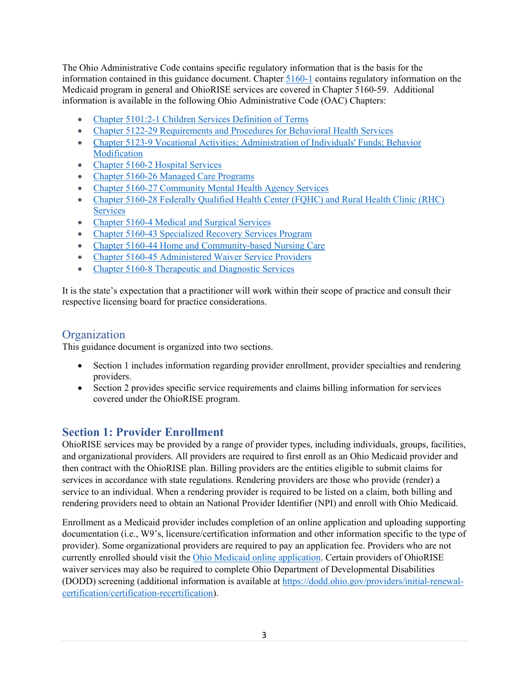The Ohio Administrative Code contains specific regulatory information that is the basis for the information contained in this guidance document. Chapter [5160-1](http://codes.ohio.gov/oac/5160-1) contains regulatory information on the Medicaid program in general and OhioRISE services are covered in Chapter 5160-59. Additional information is available in the following Ohio Administrative Code (OAC) Chapters:

- [Chapter 5101:2-1 Children Services Definition of Terms](https://codes.ohio.gov/ohio-administrative-code/chapter-5101:2-1)
- Chapter 5122-29 [Requirements and Procedures for Behavioral Health Services](https://codes.ohio.gov/ohio-administrative-code/chapter-5122-29)
- [Chapter 5123-9 Vocational Activities; Administration of Individuals' Funds; Behavior](https://codes.ohio.gov/ohio-administrative-code/chapter-5123-9)  [Modification](https://codes.ohio.gov/ohio-administrative-code/chapter-5123-9)
- Chapter 5160-2 Hospital Services
- Chapter 5160-26 Managed Care Programs
- [Chapter 5160-27 Community Mental Health Agency Services](http://codes.ohio.gov/oac/5160-27)
- Chapter 5160-28 Federally Qualified Health Center (FQHC) and Rural Health Clinic (RHC) **[Services](https://codes.ohio.gov/ohio-administrative-code/chapter-5160-28)**
- [Chapter 5160-4 Medical and Surgical Services](http://codes.ohio.gov/oac/5160-4)
- Chapter 5160-43 Specialized [Recovery](https://codes.ohio.gov/ohio-administrative-code/chapter-5160-43) Services Program
- [Chapter 5160-44 Home and Community-based Nursing Care](https://codes.ohio.gov/ohio-administrative-code/chapter-5160-44)
- [Chapter 5160-45 Administered Waiver Service Providers](https://codes.ohio.gov/ohio-administrative-code/chapter-5160-45)
- [Chapter 5160-8 Therapeutic and Diagnostic](http://codes.ohio.gov/oac/5160-8) Services

It is the state's expectation that a practitioner will work within their scope of practice and consult their respective licensing board for practice considerations.

## <span id="page-7-0"></span>**Organization**

This guidance document is organized into two sections.

- Section 1 includes information regarding provider enrollment, provider specialties and rendering providers.
- Section 2 provides specific service requirements and claims billing information for services covered under the OhioRISE program.

## <span id="page-7-1"></span>**Section 1: Provider Enrollment**

OhioRISE services may be provided by a range of provider types, including individuals, groups, facilities, and organizational providers. All providers are required to first enroll as an Ohio Medicaid provider and then contract with the OhioRISE plan. Billing providers are the entities eligible to submit claims for services in accordance with state regulations. Rendering providers are those who provide (render) a service to an individual. When a rendering provider is required to be listed on a claim, both billing and rendering providers need to obtain an National Provider Identifier (NPI) and enroll with Ohio Medicaid.

Enrollment as a Medicaid provider includes completion of an online application and uploading supporting documentation (i.e., W9's, licensure/certification information and other information specific to the type of provider). Some organizational providers are required to pay an application fee. Providers who are not currently enrolled should visit the [Ohio Medicaid online application.](https://portal.ohmits.com/Public/Providers/Enrollment/tabId/49/Default.aspx) Certain providers of OhioRISE waiver services may also be required to complete Ohio Department of Developmental Disabilities (DODD) screening (additional information is available at [https://dodd.ohio.gov/providers/initial-renewal](https://dodd.ohio.gov/providers/initial-renewal-certification/certification-recertification)[certification/certification-recertification\)](https://dodd.ohio.gov/providers/initial-renewal-certification/certification-recertification).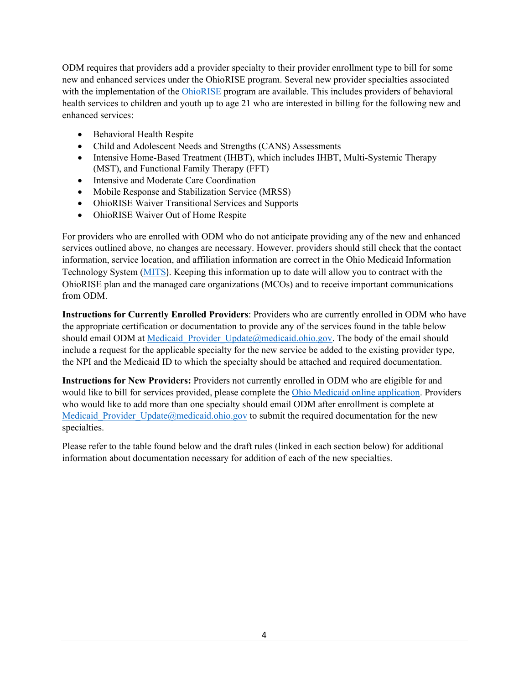ODM requires that providers add a provider specialty to their provider enrollment type to bill for some new and enhanced services under the OhioRISE program. Several new provider specialties associated with the implementation of the [OhioRISE](https://managedcare.medicaid.ohio.gov/managed-care/ohiorise/) program are available. This includes providers of behavioral health services to children and youth up to age 21 who are interested in billing for the following new and enhanced services:

- Behavioral Health Respite
- Child and Adolescent Needs and Strengths (CANS) Assessments
- Intensive Home-Based Treatment (IHBT), which includes IHBT, Multi-Systemic Therapy (MST), and Functional Family Therapy (FFT)
- Intensive and Moderate Care Coordination
- Mobile Response and Stabilization Service (MRSS)
- OhioRISE Waiver Transitional Services and Supports
- OhioRISE Waiver Out of Home Respite

For providers who are enrolled with ODM who do not anticipate providing any of the new and enhanced services outlined above, no changes are necessary. However, providers should still check that the contact information, service location, and affiliation information are correct in the Ohio Medicaid Information Technology System [\(MITS](https://www.ohmits.com/prosecure/authtam/handler?TAM_OP=login&URL=%2F)). Keeping this information up to date will allow you to contract with the OhioRISE plan and the managed care organizations (MCOs) and to receive important communications from ODM.

**Instructions for Currently Enrolled Providers**: Providers who are currently enrolled in ODM who have the appropriate certification or documentation to provide any of the services found in the table below should email ODM at Medicaid Provider Update@medicaid.ohio.gov. The body of the email should include a request for the applicable specialty for the new service be added to the existing provider type, the NPI and the Medicaid ID to which the specialty should be attached and required documentation.

**Instructions for New Providers:** Providers not currently enrolled in ODM who are eligible for and would like to bill for services provided, please complete the [Ohio Medicaid online application.](https://portal.ohmits.com/Public/Providers/Enrollment/tabId/49/Default.aspx) Providers who would like to add more than one specialty should email ODM after enrollment is complete at Medicaid Provider Update@medicaid.ohio.gov to submit the required documentation for the new specialties.

Please refer to the table found below and the draft rules (linked in each section below) for additional information about documentation necessary for addition of each of the new specialties.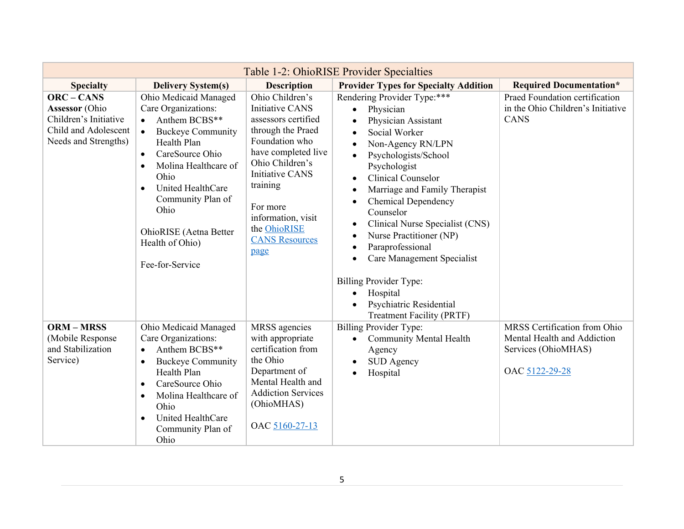<span id="page-9-0"></span>

| Table 1-2: OhioRISE Provider Specialties                                                                            |                                                                                                                                                                                                                                                                                                                                   |                                                                                                                                                                                                                                                                            |                                                                                                                                                                                                                                                                                                                                                                                                                                                                                                                                    |                                                                                                      |  |
|---------------------------------------------------------------------------------------------------------------------|-----------------------------------------------------------------------------------------------------------------------------------------------------------------------------------------------------------------------------------------------------------------------------------------------------------------------------------|----------------------------------------------------------------------------------------------------------------------------------------------------------------------------------------------------------------------------------------------------------------------------|------------------------------------------------------------------------------------------------------------------------------------------------------------------------------------------------------------------------------------------------------------------------------------------------------------------------------------------------------------------------------------------------------------------------------------------------------------------------------------------------------------------------------------|------------------------------------------------------------------------------------------------------|--|
| <b>Specialty</b>                                                                                                    | <b>Delivery System(s)</b>                                                                                                                                                                                                                                                                                                         | <b>Description</b>                                                                                                                                                                                                                                                         | <b>Provider Types for Specialty Addition</b>                                                                                                                                                                                                                                                                                                                                                                                                                                                                                       | <b>Required Documentation*</b>                                                                       |  |
| <b>ORC - CANS</b><br><b>Assessor</b> (Ohio<br>Children's Initiative<br>Child and Adolescent<br>Needs and Strengths) | Ohio Medicaid Managed<br>Care Organizations:<br>Anthem BCBS**<br><b>Buckeye Community</b><br>$\bullet$<br>Health Plan<br>CareSource Ohio<br>$\bullet$<br>Molina Healthcare of<br>$\bullet$<br>Ohio<br>United HealthCare<br>$\bullet$<br>Community Plan of<br>Ohio<br>OhioRISE (Aetna Better<br>Health of Ohio)<br>Fee-for-Service | Ohio Children's<br><b>Initiative CANS</b><br>assessors certified<br>through the Praed<br>Foundation who<br>have completed live<br>Ohio Children's<br><b>Initiative CANS</b><br>training<br>For more<br>information, visit<br>the OhioRISE<br><b>CANS Resources</b><br>page | Rendering Provider Type:***<br>Physician<br>$\bullet$<br>Physician Assistant<br>$\bullet$<br>Social Worker<br>$\bullet$<br>Non-Agency RN/LPN<br>$\bullet$<br>Psychologists/School<br>$\bullet$<br>Psychologist<br><b>Clinical Counselor</b><br>$\bullet$<br>Marriage and Family Therapist<br>$\bullet$<br><b>Chemical Dependency</b><br>$\bullet$<br>Counselor<br>Clinical Nurse Specialist (CNS)<br>$\bullet$<br>Nurse Practitioner (NP)<br>$\bullet$<br>Paraprofessional<br>$\bullet$<br>Care Management Specialist<br>$\bullet$ | Praed Foundation certification<br>in the Ohio Children's Initiative<br><b>CANS</b>                   |  |
|                                                                                                                     |                                                                                                                                                                                                                                                                                                                                   |                                                                                                                                                                                                                                                                            | <b>Billing Provider Type:</b><br>Hospital<br>$\bullet$<br>Psychiatric Residential<br>$\bullet$<br><b>Treatment Facility (PRTF)</b>                                                                                                                                                                                                                                                                                                                                                                                                 |                                                                                                      |  |
| <b>ORM-MRSS</b><br>(Mobile Response<br>and Stabilization<br>Service)                                                | Ohio Medicaid Managed<br>Care Organizations:<br>Anthem BCBS**<br>$\bullet$<br><b>Buckeye Community</b><br>$\bullet$<br>Health Plan<br>CareSource Ohio<br>$\bullet$<br>Molina Healthcare of<br>$\bullet$<br>Ohio<br>United HealthCare<br>$\bullet$<br>Community Plan of<br>Ohio                                                    | MRSS agencies<br>with appropriate<br>certification from<br>the Ohio<br>Department of<br>Mental Health and<br><b>Addiction Services</b><br>(OhioMHAS)<br>OAC 5160-27-13                                                                                                     | <b>Billing Provider Type:</b><br><b>Community Mental Health</b><br>$\bullet$<br>Agency<br>SUD Agency<br>$\bullet$<br>Hospital<br>$\bullet$                                                                                                                                                                                                                                                                                                                                                                                         | MRSS Certification from Ohio<br>Mental Health and Addiction<br>Services (OhioMHAS)<br>OAC 5122-29-28 |  |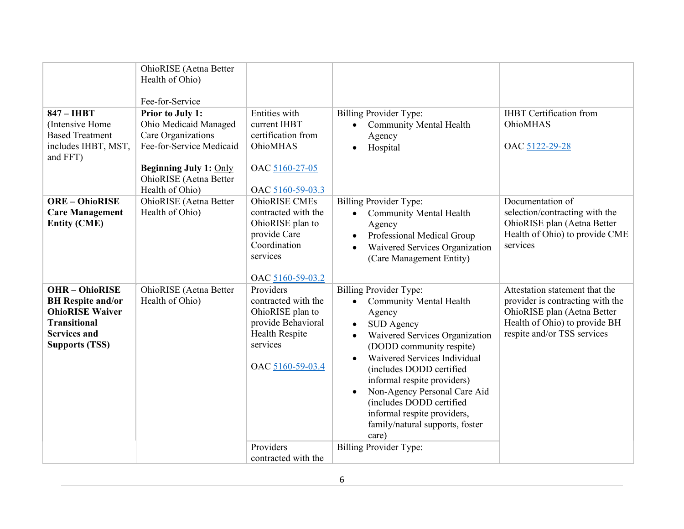| OhioRISE (Aetna Better<br>Health of Ohio)<br>Fee-for-Service<br>Prior to July 1:<br>Ohio Medicaid Managed<br>Care Organizations<br>Fee-for-Service Medicaid<br><b>Beginning July 1: Only</b><br>OhioRISE (Aetna Better<br>Health of Ohio) | Entities with<br>current IHBT<br>certification from<br>OhioMHAS<br>OAC 5160-27-05                                                         | <b>Billing Provider Type:</b><br><b>Community Mental Health</b><br>$\bullet$<br>Agency<br>Hospital<br>$\bullet$                                                                                                                                                                                                                                                                                                                                                        | <b>IHBT</b> Certification from<br>OhioMHAS<br>OAC 5122-29-28                                                                                                      |
|-------------------------------------------------------------------------------------------------------------------------------------------------------------------------------------------------------------------------------------------|-------------------------------------------------------------------------------------------------------------------------------------------|------------------------------------------------------------------------------------------------------------------------------------------------------------------------------------------------------------------------------------------------------------------------------------------------------------------------------------------------------------------------------------------------------------------------------------------------------------------------|-------------------------------------------------------------------------------------------------------------------------------------------------------------------|
| OhioRISE (Aetna Better<br>Health of Ohio)                                                                                                                                                                                                 | <b>OhioRISE CMEs</b><br>contracted with the<br>OhioRISE plan to<br>provide Care<br>Coordination<br>services<br>OAC 5160-59-03.2           | <b>Billing Provider Type:</b><br><b>Community Mental Health</b><br>$\bullet$<br>Agency<br>Professional Medical Group<br>$\bullet$<br>Waivered Services Organization<br>$\bullet$<br>(Care Management Entity)                                                                                                                                                                                                                                                           | Documentation of<br>selection/contracting with the<br>OhioRISE plan (Aetna Better<br>Health of Ohio) to provide CME<br>services                                   |
| OhioRISE (Aetna Better<br>Health of Ohio)                                                                                                                                                                                                 | Providers<br>contracted with the<br>OhioRISE plan to<br>provide Behavioral<br>Health Respite<br>services<br>OAC 5160-59-03.4<br>Providers | <b>Billing Provider Type:</b><br><b>Community Mental Health</b><br>$\bullet$<br>Agency<br><b>SUD</b> Agency<br>Waivered Services Organization<br>(DODD community respite)<br>Waivered Services Individual<br>$\bullet$<br>(includes DODD certified<br>informal respite providers)<br>Non-Agency Personal Care Aid<br>$\bullet$<br>(includes DODD certified<br>informal respite providers,<br>family/natural supports, foster<br>care)<br><b>Billing Provider Type:</b> | Attestation statement that the<br>provider is contracting with the<br>OhioRISE plan (Aetna Better<br>Health of Ohio) to provide BH<br>respite and/or TSS services |
|                                                                                                                                                                                                                                           |                                                                                                                                           | OAC 5160-59-03.3<br>contracted with the                                                                                                                                                                                                                                                                                                                                                                                                                                |                                                                                                                                                                   |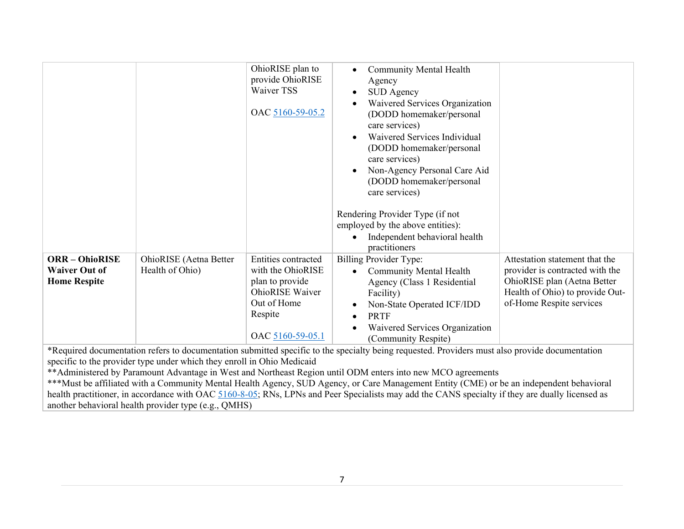|                                                                    |                                           | OhioRISE plan to<br>provide OhioRISE<br>Waiver TSS<br>OAC 5160-59-05.2                                                                     | <b>Community Mental Health</b><br>$\bullet$<br>Agency<br><b>SUD</b> Agency<br>$\bullet$<br>Waivered Services Organization<br>(DODD homemaker/personal<br>care services)<br>Waivered Services Individual<br>$\bullet$<br>(DODD homemaker/personal<br>care services)<br>Non-Agency Personal Care Aid<br>$\bullet$<br>(DODD homemaker/personal<br>care services)<br>Rendering Provider Type (if not<br>employed by the above entities):<br>Independent behavioral health<br>$\bullet$<br>practitioners |                                                                                                                                                                 |
|--------------------------------------------------------------------|-------------------------------------------|--------------------------------------------------------------------------------------------------------------------------------------------|-----------------------------------------------------------------------------------------------------------------------------------------------------------------------------------------------------------------------------------------------------------------------------------------------------------------------------------------------------------------------------------------------------------------------------------------------------------------------------------------------------|-----------------------------------------------------------------------------------------------------------------------------------------------------------------|
| <b>ORR-OhioRISE</b><br><b>Waiver Out of</b><br><b>Home Respite</b> | OhioRISE (Aetna Better<br>Health of Ohio) | <b>Entities contracted</b><br>with the OhioRISE<br>plan to provide<br><b>OhioRISE</b> Waiver<br>Out of Home<br>Respite<br>OAC 5160-59-05.1 | Billing Provider Type:<br><b>Community Mental Health</b><br>$\bullet$<br>Agency (Class 1 Residential<br>Facility)<br>Non-State Operated ICF/IDD<br><b>PRTF</b><br>$\bullet$<br>Waivered Services Organization<br>(Community Respite)                                                                                                                                                                                                                                                                | Attestation statement that the<br>provider is contracted with the<br>OhioRISE plan (Aetna Better<br>Health of Ohio) to provide Out-<br>of-Home Respite services |
|                                                                    |                                           |                                                                                                                                            | *Degrinal degree performation degree of degree original quantity degree in the greenesty hairs requested. Drawidge must also required degree or totion                                                                                                                                                                                                                                                                                                                                              |                                                                                                                                                                 |

\*Required documentation refers to documentation submitted specific to the specialty being requested. Providers must also provide documentation specific to the provider type under which they enroll in Ohio Medicaid

\*\*Administered by Paramount Advantage in West and Northeast Region until ODM enters into new MCO agreements

\*\*\*Must be affiliated with a Community Mental Health Agency, SUD Agency, or Care Management Entity (CME) or be an independent behavioral health practitioner, in accordance with OAC [5160-8-05;](https://codes.ohio.gov/ohio-administrative-code/rule-5160-8-05) RNs, LPNs and Peer Specialists may add the CANS specialty if they are dually licensed as another behavioral health provider type (e.g., QMHS)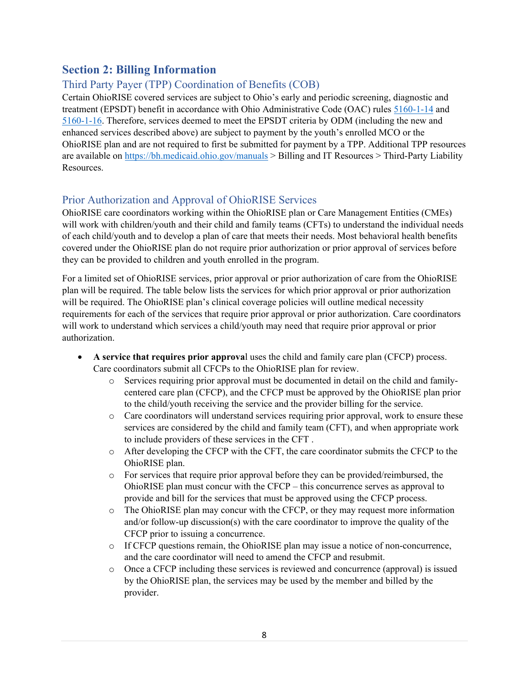## <span id="page-12-0"></span>**Section 2: Billing Information**

## <span id="page-12-1"></span>Third Party Payer (TPP) Coordination of Benefits (COB)

Certain OhioRISE covered services are subject to Ohio's early and periodic screening, diagnostic and treatment (EPSDT) benefit in accordance with Ohio Administrative Code (OAC) rules [5160-1-14](https://codes.ohio.gov/ohio-administrative-code/rule-5160-1-14) and [5160-1-16.](https://codes.ohio.gov/ohio-administrative-code/rule-5160-1-16) Therefore, services deemed to meet the EPSDT criteria by ODM (including the new and enhanced services described above) are subject to payment by the youth's enrolled MCO or the OhioRISE plan and are not required to first be submitted for payment by a TPP. Additional TPP resources are available on<https://bh.medicaid.ohio.gov/manuals> > Billing and IT Resources > Third-Party Liability Resources.

### <span id="page-12-2"></span>Prior Authorization and Approval of OhioRISE Services

OhioRISE care coordinators working within the OhioRISE plan or Care Management Entities (CMEs) will work with children/youth and their child and family teams (CFTs) to understand the individual needs of each child/youth and to develop a plan of care that meets their needs. Most behavioral health benefits covered under the OhioRISE plan do not require prior authorization or prior approval of services before they can be provided to children and youth enrolled in the program.

For a limited set of OhioRISE services, prior approval or prior authorization of care from the OhioRISE plan will be required. The table below lists the services for which prior approval or prior authorization will be required. The OhioRISE plan's clinical coverage policies will outline medical necessity requirements for each of the services that require prior approval or prior authorization. Care coordinators will work to understand which services a child/youth may need that require prior approval or prior authorization.

- **A service that requires prior approva**l uses the child and family care plan (CFCP) process. Care coordinators submit all CFCPs to the OhioRISE plan for review.
	- o Services requiring prior approval must be documented in detail on the child and familycentered care plan (CFCP), and the CFCP must be approved by the OhioRISE plan prior to the child/youth receiving the service and the provider billing for the service.
	- o Care coordinators will understand services requiring prior approval, work to ensure these services are considered by the child and family team (CFT), and when appropriate work to include providers of these services in the CFT .
	- o After developing the CFCP with the CFT, the care coordinator submits the CFCP to the OhioRISE plan.
	- o For services that require prior approval before they can be provided/reimbursed, the OhioRISE plan must concur with the CFCP – this concurrence serves as approval to provide and bill for the services that must be approved using the CFCP process.
	- $\circ$  The OhioRISE plan may concur with the CFCP, or they may request more information and/or follow-up discussion(s) with the care coordinator to improve the quality of the CFCP prior to issuing a concurrence.
	- o If CFCP questions remain, the OhioRISE plan may issue a notice of non-concurrence, and the care coordinator will need to amend the CFCP and resubmit.
	- o Once a CFCP including these services is reviewed and concurrence (approval) is issued by the OhioRISE plan, the services may be used by the member and billed by the provider.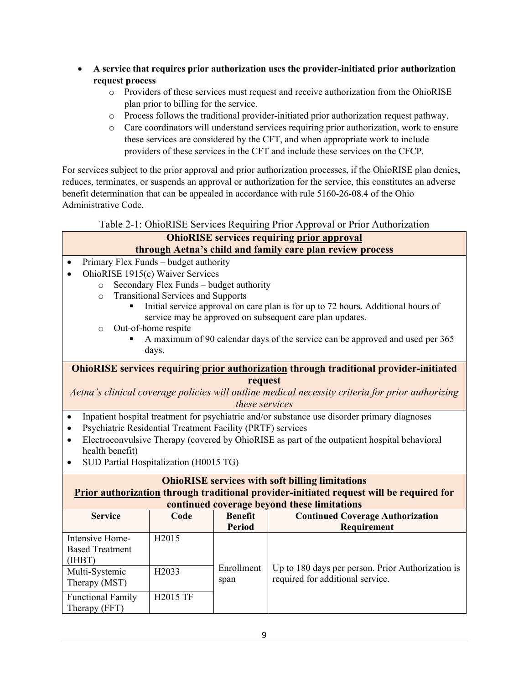- **A service that requires prior authorization uses the provider-initiated prior authorization request process**
	- o Providers of these services must request and receive authorization from the OhioRISE plan prior to billing for the service.
	- o Process follows the traditional provider-initiated prior authorization request pathway.
	- o Care coordinators will understand services requiring prior authorization, work to ensure these services are considered by the CFT, and when appropriate work to include providers of these services in the CFT and include these services on the CFCP.

For services subject to the prior approval and prior authorization processes, if the OhioRISE plan denies, reduces, terminates, or suspends an approval or authorization for the service, this constitutes an adverse benefit determination that can be appealed in accordance with rule 5160-26-08.4 of the Ohio Administrative Code.

Table 2-1: OhioRISE Services Requiring Prior Approval or Prior Authorization

#### <span id="page-13-0"></span>**OhioRISE services requiring prior approval through Aetna's child and family care plan review process** • Primary Flex Funds – budget authority • OhioRISE 1915(c) Waiver Services o Secondary Flex Funds – budget authority o Transitional Services and Supports Initial service approval on care plan is for up to 72 hours. Additional hours of service may be approved on subsequent care plan updates. o Out-of-home respite A maximum of 90 calendar days of the service can be approved and used per 365 days. **OhioRISE services requiring prior authorization through traditional provider-initiated**

**request**

*Aetna's clinical coverage policies will outline medical necessity criteria for prior authorizing these services*

- Inpatient hospital treatment for psychiatric and/or substance use disorder primary diagnoses
- Psychiatric Residential Treatment Facility (PRTF) services
- Electroconvulsive Therapy (covered by OhioRISE as part of the outpatient hospital behavioral health benefit)
- SUD Partial Hospitalization (H0015 TG)

| <b>OhioRISE</b> services with soft billing limitations                                  |                                                                                                                  |                    |                                                                                       |  |  |  |
|-----------------------------------------------------------------------------------------|------------------------------------------------------------------------------------------------------------------|--------------------|---------------------------------------------------------------------------------------|--|--|--|
| Prior authorization through traditional provider-initiated request will be required for |                                                                                                                  |                    |                                                                                       |  |  |  |
| <b>Service</b>                                                                          | continued coverage beyond these limitations<br><b>Continued Coverage Authorization</b><br>Code<br><b>Benefit</b> |                    |                                                                                       |  |  |  |
|                                                                                         |                                                                                                                  | <b>Period</b>      | <b>Requirement</b>                                                                    |  |  |  |
| Intensive Home-<br><b>Based Treatment</b><br>(IHBT)                                     | H <sub>2015</sub>                                                                                                |                    |                                                                                       |  |  |  |
| Multi-Systemic<br>Therapy (MST)                                                         | H <sub>2</sub> 033                                                                                               | Enrollment<br>span | Up to 180 days per person. Prior Authorization is<br>required for additional service. |  |  |  |
| <b>Functional Family</b><br>Therapy (FFT)                                               | H2015 TF                                                                                                         |                    |                                                                                       |  |  |  |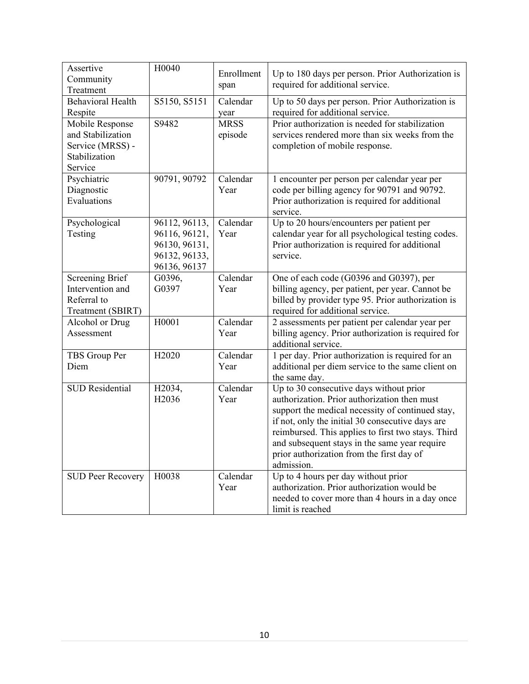| Assertive<br>Community<br>Treatment                                                  | H0040                                                                            | Enrollment<br>span     | Up to 180 days per person. Prior Authorization is<br>required for additional service.                                                                                                                                                                                                                                                                             |
|--------------------------------------------------------------------------------------|----------------------------------------------------------------------------------|------------------------|-------------------------------------------------------------------------------------------------------------------------------------------------------------------------------------------------------------------------------------------------------------------------------------------------------------------------------------------------------------------|
| <b>Behavioral Health</b><br>Respite                                                  | S5150, S5151                                                                     | Calendar<br>year       | Up to 50 days per person. Prior Authorization is<br>required for additional service.                                                                                                                                                                                                                                                                              |
| Mobile Response<br>and Stabilization<br>Service (MRSS) -<br>Stabilization<br>Service | S9482                                                                            | <b>MRSS</b><br>episode | Prior authorization is needed for stabilization<br>services rendered more than six weeks from the<br>completion of mobile response.                                                                                                                                                                                                                               |
| Psychiatric<br>Diagnostic<br>Evaluations                                             | 90791, 90792                                                                     | Calendar<br>Year       | 1 encounter per person per calendar year per<br>code per billing agency for 90791 and 90792.<br>Prior authorization is required for additional<br>service.                                                                                                                                                                                                        |
| Psychological<br>Testing                                                             | 96112, 96113,<br>96116, 96121,<br>96130, 96131,<br>96132, 96133,<br>96136, 96137 | Calendar<br>Year       | Up to 20 hours/encounters per patient per<br>calendar year for all psychological testing codes.<br>Prior authorization is required for additional<br>service.                                                                                                                                                                                                     |
| <b>Screening Brief</b><br>Intervention and<br>Referral to<br>Treatment (SBIRT)       | G0396,<br>G0397                                                                  | Calendar<br>Year       | One of each code (G0396 and G0397), per<br>billing agency, per patient, per year. Cannot be<br>billed by provider type 95. Prior authorization is<br>required for additional service.                                                                                                                                                                             |
| Alcohol or Drug<br>Assessment                                                        | H0001                                                                            | Calendar<br>Year       | 2 assessments per patient per calendar year per<br>billing agency. Prior authorization is required for<br>additional service.                                                                                                                                                                                                                                     |
| TBS Group Per<br>Diem                                                                | H2020                                                                            | Calendar<br>Year       | 1 per day. Prior authorization is required for an<br>additional per diem service to the same client on<br>the same day.                                                                                                                                                                                                                                           |
| <b>SUD Residential</b>                                                               | H2034,<br>H2036                                                                  | Calendar<br>Year       | Up to 30 consecutive days without prior<br>authorization. Prior authorization then must<br>support the medical necessity of continued stay,<br>if not, only the initial 30 consecutive days are<br>reimbursed. This applies to first two stays. Third<br>and subsequent stays in the same year require<br>prior authorization from the first day of<br>admission. |
| <b>SUD Peer Recovery</b>                                                             | H0038                                                                            | Calendar<br>Year       | Up to 4 hours per day without prior<br>authorization. Prior authorization would be<br>needed to cover more than 4 hours in a day once<br>limit is reached                                                                                                                                                                                                         |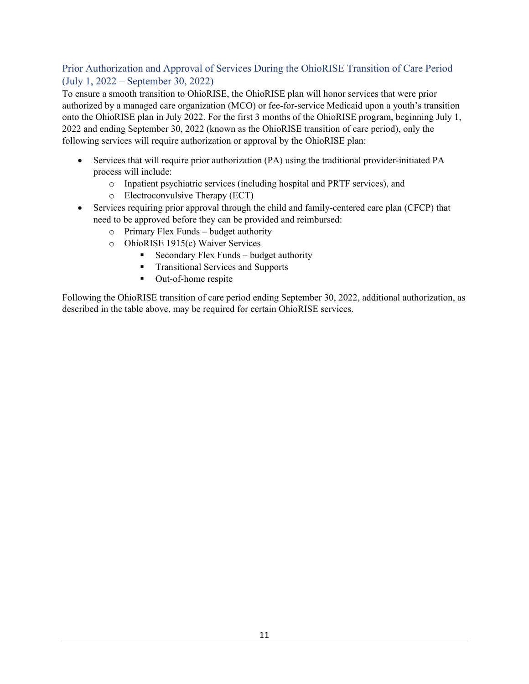#### <span id="page-15-0"></span>Prior Authorization and Approval of Services During the OhioRISE Transition of Care Period (July 1, 2022 – September 30, 2022)

To ensure a smooth transition to OhioRISE, the OhioRISE plan will honor services that were prior authorized by a managed care organization (MCO) or fee-for-service Medicaid upon a youth's transition onto the OhioRISE plan in July 2022. For the first 3 months of the OhioRISE program, beginning July 1, 2022 and ending September 30, 2022 (known as the OhioRISE transition of care period), only the following services will require authorization or approval by the OhioRISE plan:

- Services that will require prior authorization (PA) using the traditional provider-initiated PA process will include:
	- o Inpatient psychiatric services (including hospital and PRTF services), and
	- o Electroconvulsive Therapy (ECT)
- Services requiring prior approval through the child and family-centered care plan (CFCP) that need to be approved before they can be provided and reimbursed:
	- o Primary Flex Funds budget authority
	- o OhioRISE 1915(c) Waiver Services
		- Secondary Flex Funds budget authority
		- **Transitional Services and Supports**
		- Out-of-home respite

Following the OhioRISE transition of care period ending September 30, 2022, additional authorization, as described in the table above, may be required for certain OhioRISE services.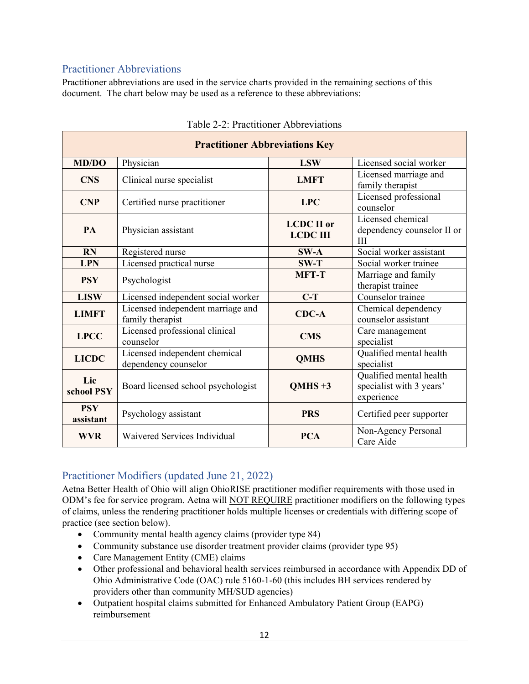### <span id="page-16-0"></span>Practitioner Abbreviations

Practitioner abbreviations are used in the service charts provided in the remaining sections of this document. The chart below may be used as a reference to these abbreviations:

<span id="page-16-1"></span>

| <b>Practitioner Abbreviations Key</b> |                                                       |                                      |                                                                   |  |  |  |
|---------------------------------------|-------------------------------------------------------|--------------------------------------|-------------------------------------------------------------------|--|--|--|
| <b>MD/DO</b>                          | Physician                                             | <b>LSW</b>                           | Licensed social worker                                            |  |  |  |
| <b>CNS</b>                            | Clinical nurse specialist                             | <b>LMFT</b>                          | Licensed marriage and<br>family therapist                         |  |  |  |
| <b>CNP</b>                            | Certified nurse practitioner                          | <b>LPC</b>                           | Licensed professional<br>counselor                                |  |  |  |
| PA                                    | Physician assistant                                   | <b>LCDC</b> II or<br><b>LCDC III</b> | Licensed chemical<br>dependency counselor II or<br>Ш              |  |  |  |
| <b>RN</b>                             | Registered nurse                                      | $SW-A$                               | Social worker assistant                                           |  |  |  |
| <b>LPN</b>                            | Licensed practical nurse                              | $SW-T$                               | Social worker trainee                                             |  |  |  |
| <b>PSY</b>                            | Psychologist                                          | <b>MFT-T</b>                         | Marriage and family<br>therapist trainee                          |  |  |  |
| <b>LISW</b>                           | Licensed independent social worker                    | $C-T$                                | Counselor trainee                                                 |  |  |  |
| <b>LIMFT</b>                          | Licensed independent marriage and<br>family therapist | $CDC-A$                              | Chemical dependency<br>counselor assistant                        |  |  |  |
| <b>LPCC</b>                           | Licensed professional clinical<br>counselor           | <b>CMS</b>                           | Care management<br>specialist                                     |  |  |  |
| <b>LICDC</b>                          | Licensed independent chemical<br>dependency counselor | <b>QMHS</b>                          | Qualified mental health<br>specialist                             |  |  |  |
| Lic<br>school PSY                     | Board licensed school psychologist                    | $OMHS +3$                            | Qualified mental health<br>specialist with 3 years'<br>experience |  |  |  |
| <b>PSY</b><br>assistant               | Psychology assistant                                  | <b>PRS</b>                           | Certified peer supporter                                          |  |  |  |
| <b>WVR</b>                            | Waivered Services Individual                          | <b>PCA</b>                           | Non-Agency Personal<br>Care Aide                                  |  |  |  |

#### Table 2-2: Practitioner Abbreviations

#### <span id="page-16-2"></span>Practitioner Modifiers (updated June 21, 2022)

Aetna Better Health of Ohio will align OhioRISE practitioner modifier requirements with those used in ODM's fee for service program. Aetna will NOT REQUIRE practitioner modifiers on the following types of claims, unless the rendering practitioner holds multiple licenses or credentials with differing scope of practice (see section below).

- Community mental health agency claims (provider type 84)
- Community substance use disorder treatment provider claims (provider type 95)
- Care Management Entity (CME) claims
- Other professional and behavioral health services reimbursed in accordance with Appendix DD of Ohio Administrative Code (OAC) rule 5160-1-60 (this includes BH services rendered by providers other than community MH/SUD agencies)
- Outpatient hospital claims submitted for Enhanced Ambulatory Patient Group (EAPG) reimbursement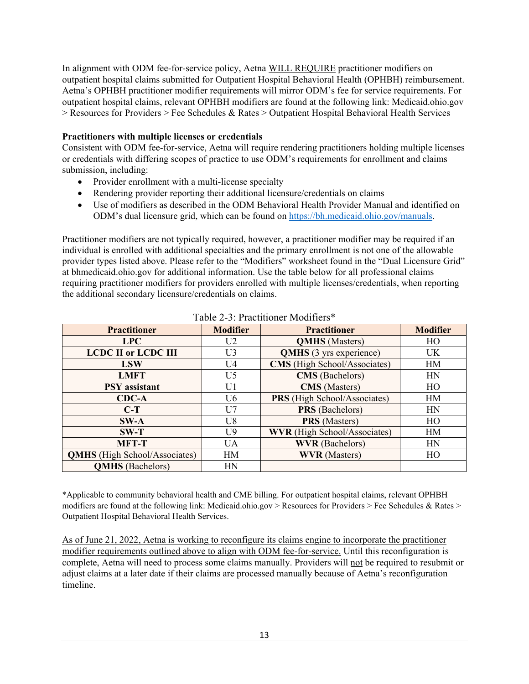In alignment with ODM fee-for-service policy, Aetna WILL REQUIRE practitioner modifiers on outpatient hospital claims submitted for Outpatient Hospital Behavioral Health (OPHBH) reimbursement. Aetna's OPHBH practitioner modifier requirements will mirror ODM's fee for service requirements. For outpatient hospital claims, relevant OPHBH modifiers are found at the following link: Medicaid.ohio.gov > Resources for Providers > Fee Schedules & Rates > Outpatient Hospital Behavioral Health Services

#### **Practitioners with multiple licenses or credentials**

Consistent with ODM fee-for-service, Aetna will require rendering practitioners holding multiple licenses or credentials with differing scopes of practice to use ODM's requirements for enrollment and claims submission, including:

- Provider enrollment with a multi-license specialty
- Rendering provider reporting their additional licensure/credentials on claims
- Use of modifiers as described in the ODM Behavioral Health Provider Manual and identified on ODM's dual licensure grid, which can be found on [https://bh.medicaid.ohio.gov/manuals.](https://bh.medicaid.ohio.gov/manuals)

Practitioner modifiers are not typically required, however, a practitioner modifier may be required if an individual is enrolled with additional specialties and the primary enrollment is not one of the allowable provider types listed above. Please refer to the "Modifiers" worksheet found in the "Dual Licensure Grid" at bhmedicaid.ohio.gov for additional information. Use the table below for all professional claims requiring practitioner modifiers for providers enrolled with multiple licenses/credentials, when reporting the additional secondary licensure/credentials on claims.

<span id="page-17-0"></span>

| <b>Practitioner</b>                  | <b>Modifier</b> | <b>Practitioner</b>                 | <b>Modifier</b> |  |  |  |
|--------------------------------------|-----------------|-------------------------------------|-----------------|--|--|--|
| <b>LPC</b>                           | U <sub>2</sub>  | <b>QMHS</b> (Masters)               | HO              |  |  |  |
| <b>LCDC II or LCDC III</b>           | U3              | <b>QMHS</b> (3 yrs experience)      | <b>UK</b>       |  |  |  |
| <b>LSW</b>                           | U <sub>4</sub>  | <b>CMS</b> (High School/Associates) | HM              |  |  |  |
| <b>LMFT</b>                          | U5              | <b>CMS</b> (Bachelors)              | HN              |  |  |  |
| <b>PSY</b> assistant                 | U1              | <b>CMS</b> (Masters)                | HO              |  |  |  |
| $CDC-A$                              | U <sub>6</sub>  | <b>PRS</b> (High School/Associates) | HM              |  |  |  |
| $C-T$                                | U <sub>7</sub>  | <b>PRS</b> (Bachelors)              | HN              |  |  |  |
| $SW-A$                               | U <sub>8</sub>  | <b>PRS</b> (Masters)                | HO              |  |  |  |
| $SW-T$                               | U9              | <b>WVR</b> (High School/Associates) | <b>HM</b>       |  |  |  |
| <b>MFT-T</b>                         | <b>UA</b>       | <b>WVR</b> (Bachelors)              | HN              |  |  |  |
| <b>QMHS</b> (High School/Associates) | HM              | <b>WVR</b> (Masters)                | HO              |  |  |  |
| <b>QMHS</b> (Bachelors)              | HN              |                                     |                 |  |  |  |

Table 2-3: Practitioner Modifiers\*

\*Applicable to community behavioral health and CME billing. For outpatient hospital claims, relevant OPHBH modifiers are found at the following link: Medicaid.ohio.gov > Resources for Providers > Fee Schedules & Rates > Outpatient Hospital Behavioral Health Services.

As of June 21, 2022, Aetna is working to reconfigure its claims engine to incorporate the practitioner modifier requirements outlined above to align with ODM fee-for-service. Until this reconfiguration is complete, Aetna will need to process some claims manually. Providers will not be required to resubmit or adjust claims at a later date if their claims are processed manually because of Aetna's reconfiguration timeline.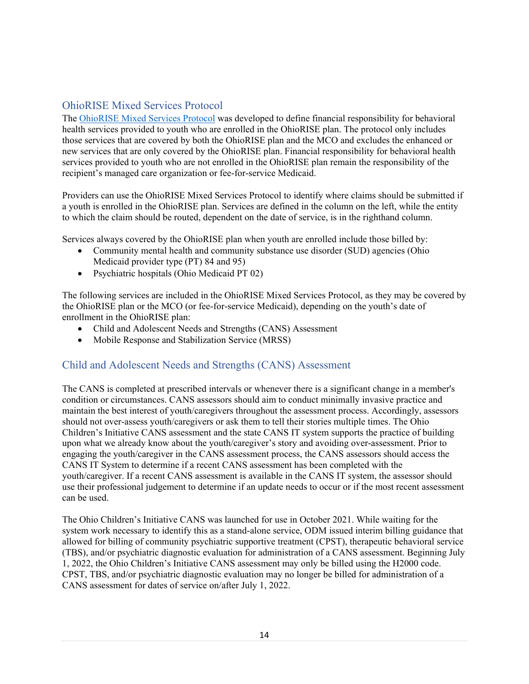## <span id="page-18-0"></span>OhioRISE Mixed Services Protocol

The [OhioRISE Mixed Services Protocol](https://managedcare.medicaid.ohio.gov/wps/wcm/connect/gov/66beb0f3-0b72-482e-8c17-1c981c175842/OHR+Mixed+Services+Protocol+5.31.2022.pdf?MOD=AJPERES&CVID=o4rc-Pu) was developed to define financial responsibility for behavioral health services provided to youth who are enrolled in the OhioRISE plan. The protocol only includes those services that are covered by both the OhioRISE plan and the MCO and excludes the enhanced or new services that are only covered by the OhioRISE plan. Financial responsibility for behavioral health services provided to youth who are not enrolled in the OhioRISE plan remain the responsibility of the recipient's managed care organization or fee-for-service Medicaid.

Providers can use the OhioRISE Mixed Services Protocol to identify where claims should be submitted if a youth is enrolled in the OhioRISE plan. Services are defined in the column on the left, while the entity to which the claim should be routed, dependent on the date of service, is in the righthand column.

Services always covered by the OhioRISE plan when youth are enrolled include those billed by:

- Community mental health and community substance use disorder (SUD) agencies (Ohio Medicaid provider type (PT) 84 and 95)
- Psychiatric hospitals (Ohio Medicaid PT 02)

The following services are included in the OhioRISE Mixed Services Protocol, as they may be covered by the OhioRISE plan or the MCO (or fee-for-service Medicaid), depending on the youth's date of enrollment in the OhioRISE plan:

- Child and Adolescent Needs and Strengths (CANS) Assessment
- Mobile Response and Stabilization Service (MRSS)

### <span id="page-18-1"></span>Child and Adolescent Needs and Strengths (CANS) Assessment

The CANS is completed at prescribed intervals or whenever there is a significant change in a member's condition or circumstances. CANS assessors should aim to conduct minimally invasive practice and maintain the best interest of youth/caregivers throughout the assessment process. Accordingly, assessors should not over-assess youth/caregivers or ask them to tell their stories multiple times. The Ohio Children's Initiative CANS assessment and the state CANS IT system supports the practice of building upon what we already know about the youth/caregiver's story and avoiding over-assessment. Prior to engaging the youth/caregiver in the CANS assessment process, the CANS assessors should access the CANS IT System to determine if a recent CANS assessment has been completed with the youth/caregiver. If a recent CANS assessment is available in the CANS IT system, the assessor should use their professional judgement to determine if an update needs to occur or if the most recent assessment can be used.

The Ohio Children's Initiative CANS was launched for use in October 2021. While waiting for the system work necessary to identify this as a stand-alone service, ODM issued interim billing guidance that allowed for billing of community psychiatric supportive treatment (CPST), therapeutic behavioral service (TBS), and/or psychiatric diagnostic evaluation for administration of a CANS assessment. Beginning July 1, 2022, the Ohio Children's Initiative CANS assessment may only be billed using the H2000 code. CPST, TBS, and/or psychiatric diagnostic evaluation may no longer be billed for administration of a CANS assessment for dates of service on/after July 1, 2022.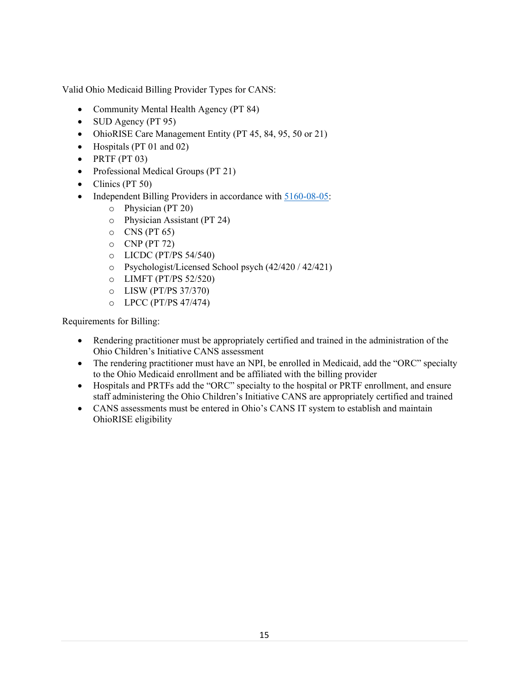Valid Ohio Medicaid Billing Provider Types for CANS:

- Community Mental Health Agency (PT 84)
- SUD Agency (PT 95)
- OhioRISE Care Management Entity (PT 45, 84, 95, 50 or 21)
- Hospitals (PT 01 and 02)
- $\bullet$  PRTF (PT 03)
- Professional Medical Groups (PT 21)
- Clinics (PT 50)
- Independent Billing Providers in accordance with [5160-08-05:](https://codes.ohio.gov/ohio-administrative-code/rule-5160-8-05)
	- o Physician (PT 20)
	- o Physician Assistant (PT 24)
	- $\circ$  CNS (PT 65)
	- $O$  CNP (PT 72)
	- o LICDC (PT/PS 54/540)
	- o Psychologist/Licensed School psych (42/420 / 42/421)
	- o LIMFT (PT/PS 52/520)
	- o LISW (PT/PS 37/370)
	- o LPCC (PT/PS 47/474)

Requirements for Billing:

- Rendering practitioner must be appropriately certified and trained in the administration of the Ohio Children's Initiative CANS assessment
- The rendering practitioner must have an NPI, be enrolled in Medicaid, add the "ORC" specialty to the Ohio Medicaid enrollment and be affiliated with the billing provider
- Hospitals and PRTFs add the "ORC" specialty to the hospital or PRTF enrollment, and ensure staff administering the Ohio Children's Initiative CANS are appropriately certified and trained
- CANS assessments must be entered in Ohio's CANS IT system to establish and maintain OhioRISE eligibility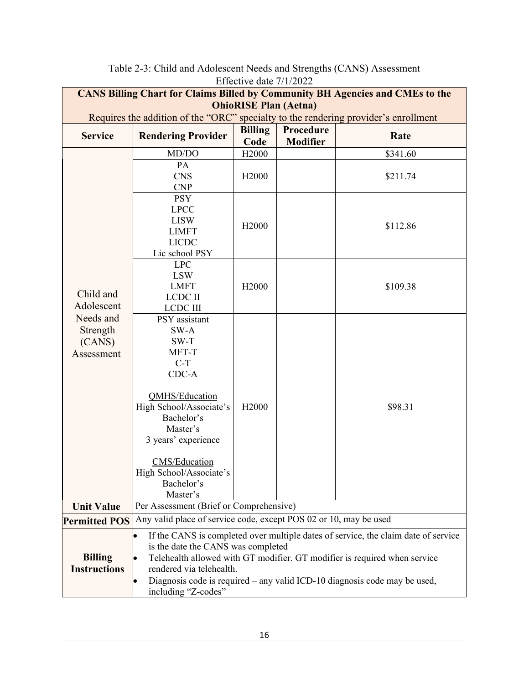<span id="page-20-0"></span>

|                                                                                                                                                                                                                                                                                                                                                                                             | Ellective date //1/2022<br><b>CANS Billing Chart for Claims Billed by Community BH Agencies and CMEs to the</b>                                                                                                                     |                        |                              |          |  |  |  |
|---------------------------------------------------------------------------------------------------------------------------------------------------------------------------------------------------------------------------------------------------------------------------------------------------------------------------------------------------------------------------------------------|-------------------------------------------------------------------------------------------------------------------------------------------------------------------------------------------------------------------------------------|------------------------|------------------------------|----------|--|--|--|
|                                                                                                                                                                                                                                                                                                                                                                                             | <b>OhioRISE Plan (Aetna)</b>                                                                                                                                                                                                        |                        |                              |          |  |  |  |
| Requires the addition of the "ORC" specialty to the rendering provider's enrollment                                                                                                                                                                                                                                                                                                         |                                                                                                                                                                                                                                     |                        |                              |          |  |  |  |
| <b>Service</b>                                                                                                                                                                                                                                                                                                                                                                              | <b>Rendering Provider</b>                                                                                                                                                                                                           | <b>Billing</b><br>Code | Procedure<br><b>Modifier</b> | Rate     |  |  |  |
|                                                                                                                                                                                                                                                                                                                                                                                             | MD/DO                                                                                                                                                                                                                               | H <sub>2000</sub>      |                              | \$341.60 |  |  |  |
|                                                                                                                                                                                                                                                                                                                                                                                             | PA<br><b>CNS</b><br><b>CNP</b>                                                                                                                                                                                                      | H <sub>2000</sub>      |                              | \$211.74 |  |  |  |
|                                                                                                                                                                                                                                                                                                                                                                                             | <b>PSY</b><br><b>LPCC</b><br><b>LISW</b><br><b>LIMFT</b><br><b>LICDC</b><br>Lic school PSY                                                                                                                                          | H <sub>2000</sub>      |                              | \$112.86 |  |  |  |
| Child and<br>Adolescent                                                                                                                                                                                                                                                                                                                                                                     | <b>LPC</b><br><b>LSW</b><br><b>LMFT</b><br><b>LCDC II</b><br><b>LCDC III</b>                                                                                                                                                        | H <sub>2000</sub>      |                              | \$109.38 |  |  |  |
| Needs and<br>Strength<br>(CANS)<br>Assessment                                                                                                                                                                                                                                                                                                                                               | PSY assistant<br>SW-A<br>SW-T<br>MFT-T<br>$C-T$<br>CDC-A<br><b>QMHS/Education</b><br>High School/Associate's<br>Bachelor's<br>Master's<br>3 years' experience<br>CMS/Education<br>High School/Associate's<br>Bachelor's<br>Master's | H <sub>2000</sub>      |                              | \$98.31  |  |  |  |
| <b>Unit Value</b>                                                                                                                                                                                                                                                                                                                                                                           | Per Assessment (Brief or Comprehensive)                                                                                                                                                                                             |                        |                              |          |  |  |  |
| <b>Permitted POS</b>                                                                                                                                                                                                                                                                                                                                                                        | Any valid place of service code, except POS 02 or 10, may be used                                                                                                                                                                   |                        |                              |          |  |  |  |
| If the CANS is completed over multiple dates of service, the claim date of service<br>$\bullet$<br>is the date the CANS was completed<br><b>Billing</b><br>Telehealth allowed with GT modifier. GT modifier is required when service<br><b>Instructions</b><br>rendered via telehealth.<br>Diagnosis code is required - any valid ICD-10 diagnosis code may be used,<br>including "Z-codes" |                                                                                                                                                                                                                                     |                        |                              |          |  |  |  |

| Table 2-3: Child and Adolescent Needs and Strengths (CANS) Assessment |
|-----------------------------------------------------------------------|
| Effective date $7/1/2022$                                             |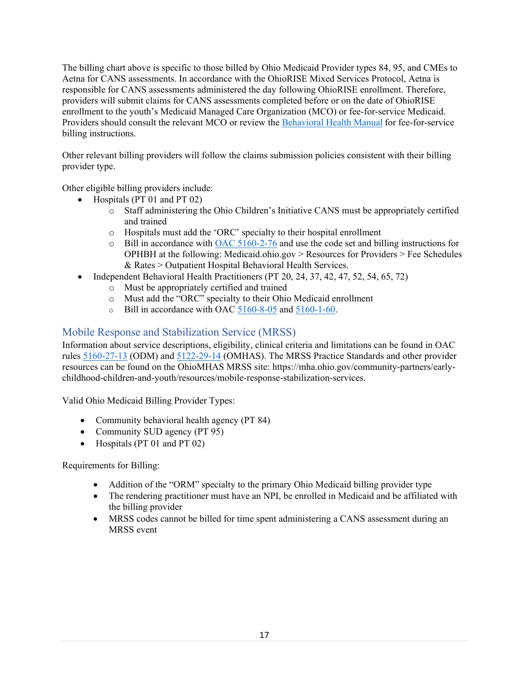The billing chart above is specific to those billed by Ohio Medicaid Provider types 84, 95, and CMEs to Aetna for CANS assessments. In accordance with the OhioRISE Mixed Services Protocol, Aetna is responsible for CANS assessments administered the day following OhioRISE enrollment. Therefore, providers will submit claims for CANS assessments completed before or on the date of OhioRISE enrollment to the youth's Medicaid Managed Care Organization (MCO) or fee-for-service Medicaid. Providers should consult the relevant MCO or review the [Behavioral Health Manual](https://bh.medicaid.ohio.gov/Portals/0/Providers/Manual/FINAL_BH%20Manual%20v%201_23.pdf?ver=IHXjQvScpr8lU23oIfKCpw%3d%3d) for fee-for-service billing instructions.

Other relevant billing providers will follow the claims submission policies consistent with their billing provider type.

Other eligible billing providers include:

- Hospitals (PT 01 and PT 02)
	- o Staff administering the Ohio Children's Initiative CANS must be appropriately certified and trained
	- o Hospitals must add the 'ORC' specialty to their hospital enrollment
	- $\circ$  Bill in accordance with [OAC 5160-2-76](https://codes.ohio.gov/ohio-administrative-code/rule-5160-2-76) and use the code set and billing instructions for OPHBH at the following: Medicaid.ohio.gov > Resources for Providers > Fee Schedules & Rates > Outpatient Hospital Behavioral Health Services.
- Independent Behavioral Health Practitioners (PT 20, 24, 37, 42, 47, 52, 54, 65, 72)
	- o Must be appropriately certified and trained
	- o Must add the "ORC" specialty to their Ohio Medicaid enrollment
	- o Bill in accordance with OAC [5160-8-05](https://codes.ohio.gov/ohio-administrative-code/rule-5160-8-05) and [5160-1-60.](https://codes.ohio.gov/ohio-administrative-code/rule-5160-1-60)

#### <span id="page-21-0"></span>Mobile Response and Stabilization Service (MRSS)

Information about service descriptions, eligibility, clinical criteria and limitations can be found in OAC rules [5160-27-13](https://www.registerofohio.state.oh.us/rules/search/details/319820) (ODM) and [5122-29-14](https://www.registerofohio.state.oh.us/pdfs/5122/0/29/5122-29-14_PH_RF_N_RU_20220502_0850.pdf) (OMHAS). The MRSS Practice Standards and other provider resources can be found on the OhioMHAS MRSS site: [https://mha.ohio.gov/community-partners/early](https://mha.ohio.gov/community-partners/early-childhood-children-and-youth/resources/mobile-response-stabilization-services)[childhood-children-and-youth/resources/mobile-response-stabilization-services.](https://mha.ohio.gov/community-partners/early-childhood-children-and-youth/resources/mobile-response-stabilization-services)

Valid Ohio Medicaid Billing Provider Types:

- Community behavioral health agency (PT 84)
- Community SUD agency (PT 95)
- Hospitals (PT 01 and PT 02)

Requirements for Billing:

- Addition of the "ORM" specialty to the primary Ohio Medicaid billing provider type
- The rendering practitioner must have an NPI, be enrolled in Medicaid and be affiliated with the billing provider
- MRSS codes cannot be billed for time spent administering a CANS assessment during an MRSS event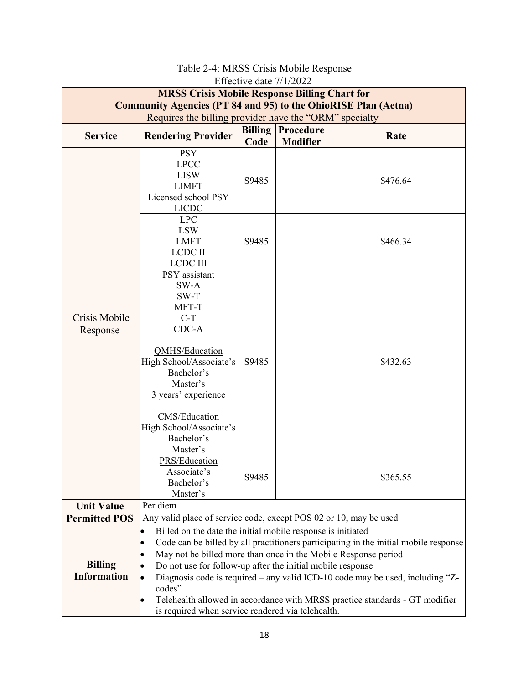<span id="page-22-0"></span>

|                                                                       | <b>MRSS Crisis Mobile Response Billing Chart for</b>              | <b>LITUCHVU GAIU</b> 111/2022 |                              |                                                                                      |  |  |  |  |
|-----------------------------------------------------------------------|-------------------------------------------------------------------|-------------------------------|------------------------------|--------------------------------------------------------------------------------------|--|--|--|--|
| <b>Community Agencies (PT 84 and 95) to the OhioRISE Plan (Aetna)</b> |                                                                   |                               |                              |                                                                                      |  |  |  |  |
|                                                                       | Requires the billing provider have the "ORM" specialty            |                               |                              |                                                                                      |  |  |  |  |
| <b>Service</b>                                                        | <b>Rendering Provider</b>                                         | <b>Billing</b><br>Code        | Procedure<br><b>Modifier</b> | Rate                                                                                 |  |  |  |  |
|                                                                       | <b>PSY</b>                                                        |                               |                              |                                                                                      |  |  |  |  |
|                                                                       | <b>LPCC</b>                                                       |                               |                              |                                                                                      |  |  |  |  |
|                                                                       | <b>LISW</b>                                                       |                               |                              |                                                                                      |  |  |  |  |
|                                                                       | <b>LIMFT</b>                                                      | S9485                         |                              | \$476.64                                                                             |  |  |  |  |
|                                                                       | Licensed school PSY                                               |                               |                              |                                                                                      |  |  |  |  |
|                                                                       | <b>LICDC</b>                                                      |                               |                              |                                                                                      |  |  |  |  |
|                                                                       | <b>LPC</b>                                                        |                               |                              |                                                                                      |  |  |  |  |
|                                                                       | <b>LSW</b><br><b>LMFT</b>                                         | S9485                         |                              | \$466.34                                                                             |  |  |  |  |
|                                                                       | <b>LCDC II</b>                                                    |                               |                              |                                                                                      |  |  |  |  |
|                                                                       | <b>LCDC III</b>                                                   |                               |                              |                                                                                      |  |  |  |  |
|                                                                       | PSY assistant                                                     |                               |                              |                                                                                      |  |  |  |  |
| Crisis Mobile<br>Response                                             | SW-A                                                              |                               |                              |                                                                                      |  |  |  |  |
|                                                                       | SW-T                                                              |                               |                              |                                                                                      |  |  |  |  |
|                                                                       | MFT-T                                                             |                               |                              |                                                                                      |  |  |  |  |
|                                                                       | $C-T$<br>$CDC-A$                                                  |                               |                              |                                                                                      |  |  |  |  |
|                                                                       |                                                                   |                               |                              |                                                                                      |  |  |  |  |
|                                                                       | QMHS/Education                                                    |                               |                              |                                                                                      |  |  |  |  |
|                                                                       | High School/Associate's                                           | S9485                         |                              | \$432.63                                                                             |  |  |  |  |
|                                                                       | Bachelor's                                                        |                               |                              |                                                                                      |  |  |  |  |
|                                                                       | Master's                                                          |                               |                              |                                                                                      |  |  |  |  |
|                                                                       | 3 years' experience                                               |                               |                              |                                                                                      |  |  |  |  |
|                                                                       | <b>CMS/Education</b>                                              |                               |                              |                                                                                      |  |  |  |  |
|                                                                       | High School/Associate's                                           |                               |                              |                                                                                      |  |  |  |  |
|                                                                       | Bachelor's                                                        |                               |                              |                                                                                      |  |  |  |  |
|                                                                       | Master's                                                          |                               |                              |                                                                                      |  |  |  |  |
|                                                                       | <b>PRS/Education</b>                                              |                               |                              |                                                                                      |  |  |  |  |
|                                                                       | Associate's                                                       | S9485                         |                              | \$365.55                                                                             |  |  |  |  |
|                                                                       | Bachelor's<br>Master's                                            |                               |                              |                                                                                      |  |  |  |  |
| <b>Unit Value</b>                                                     | Per diem                                                          |                               |                              |                                                                                      |  |  |  |  |
| <b>Permitted POS</b>                                                  | Any valid place of service code, except POS 02 or 10, may be used |                               |                              |                                                                                      |  |  |  |  |
|                                                                       | Billed on the date the initial mobile response is initiated       |                               |                              |                                                                                      |  |  |  |  |
|                                                                       | $\bullet$                                                         |                               |                              | Code can be billed by all practitioners participating in the initial mobile response |  |  |  |  |
|                                                                       | May not be billed more than once in the Mobile Response period    |                               |                              |                                                                                      |  |  |  |  |
| <b>Billing</b>                                                        | Do not use for follow-up after the initial mobile response        |                               |                              |                                                                                      |  |  |  |  |
| <b>Information</b>                                                    |                                                                   |                               |                              | Diagnosis code is required – any valid ICD-10 code may be used, including "Z-        |  |  |  |  |
|                                                                       | codes"                                                            |                               |                              |                                                                                      |  |  |  |  |
|                                                                       |                                                                   |                               |                              | Telehealth allowed in accordance with MRSS practice standards - GT modifier          |  |  |  |  |
|                                                                       | is required when service rendered via telehealth.                 |                               |                              |                                                                                      |  |  |  |  |

## Table 2-4: MRSS Crisis Mobile Response Effective date 7/1/2022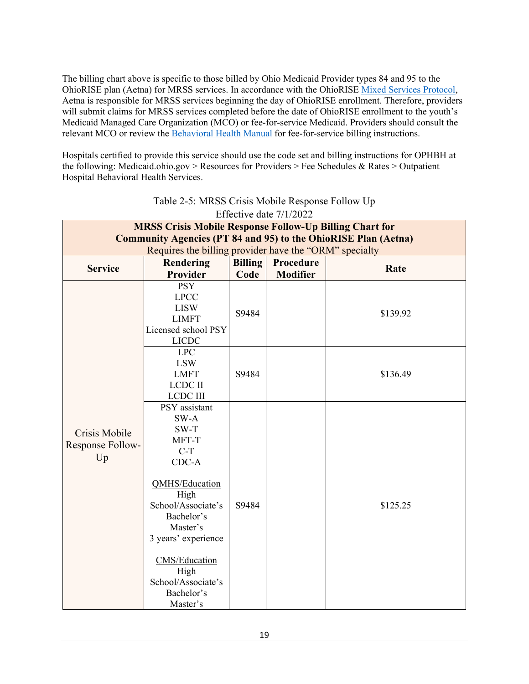The billing chart above is specific to those billed by Ohio Medicaid Provider types 84 and 95 to the OhioRISE plan (Aetna) for MRSS services. In accordance with the OhioRISE [Mixed Services Protocol,](https://managedcare.medicaid.ohio.gov/wps/wcm/connect/gov/66beb0f3-0b72-482e-8c17-1c981c175842/OHR+Mixed+Services+Protocol+5.31.2022.pdf?MOD=AJPERES&CVID=o4rc-Pu) Aetna is responsible for MRSS services beginning the day of OhioRISE enrollment. Therefore, providers will submit claims for MRSS services completed before the date of OhioRISE enrollment to the youth's Medicaid Managed Care Organization (MCO) or fee-for-service Medicaid. Providers should consult the relevant MCO or review the Behavioral [Health Manual](https://bh.medicaid.ohio.gov/Portals/0/Providers/Manual/FINAL_BH%20Manual%20v%201_23.pdf?ver=IHXjQvScpr8lU23oIfKCpw%3d%3d) for fee-for-service billing instructions.

Hospitals certified to provide this service should use the code set and billing instructions for OPHBH at the following: Medicaid.ohio.gov > Resources for Providers > Fee Schedules & Rates > Outpatient Hospital Behavioral Health Services.

<span id="page-23-0"></span>

| <b>MRSS Crisis Mobile Response Follow-Up Billing Chart for</b>                                                                                                                                                                           |                                                                        |                        |                                                                                        |  |  |  |  |
|------------------------------------------------------------------------------------------------------------------------------------------------------------------------------------------------------------------------------------------|------------------------------------------------------------------------|------------------------|----------------------------------------------------------------------------------------|--|--|--|--|
| <b>Community Agencies (PT 84 and 95) to the OhioRISE Plan (Aetna)</b>                                                                                                                                                                    |                                                                        |                        |                                                                                        |  |  |  |  |
|                                                                                                                                                                                                                                          |                                                                        |                        |                                                                                        |  |  |  |  |
|                                                                                                                                                                                                                                          |                                                                        |                        | Rate                                                                                   |  |  |  |  |
|                                                                                                                                                                                                                                          |                                                                        |                        |                                                                                        |  |  |  |  |
| <b>LPCC</b><br><b>LISW</b><br><b>LIMFT</b><br>Licensed school PSY                                                                                                                                                                        | S9484                                                                  |                        | \$139.92                                                                               |  |  |  |  |
| <b>LPC</b><br><b>LSW</b><br><b>LMFT</b><br><b>LCDC II</b><br><b>LCDC III</b>                                                                                                                                                             | S9484                                                                  |                        | \$136.49                                                                               |  |  |  |  |
| PSY assistant<br>SW-A<br>$SW-T$<br>MFT-T<br>$C-T$<br>$CDC-A$<br><b>QMHS/Education</b><br>High<br>School/Associate's<br>Bachelor's<br>Master's<br>3 years' experience<br><b>CMS/Education</b><br>High<br>School/Associate's<br>Bachelor's | S9484                                                                  |                        | \$125.25                                                                               |  |  |  |  |
|                                                                                                                                                                                                                                          | Rendering<br><b>Provider</b><br><b>PSY</b><br><b>LICDC</b><br>Master's | <b>Billing</b><br>Code | Requires the billing provider have the "ORM" specialty<br>Procedure<br><b>Modifier</b> |  |  |  |  |

#### Table 2-5: MRSS Crisis Mobile Response Follow Up Effective date  $7/1/2022$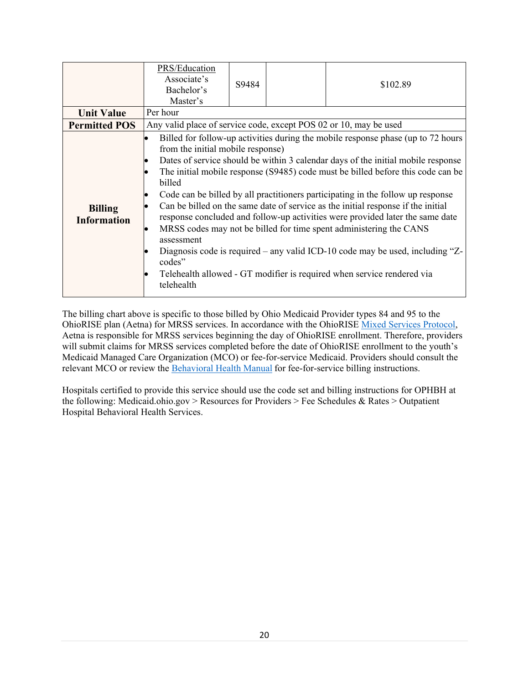| <b>Unit Value</b>                    | PRS/Education<br>Associate's<br>Bachelor's<br>Master's<br>Per hour                | S9484 | \$102.89                                                                                                                                                                                                                                                                                                                                                                                                                                                                                                                                                                                                                                                                                                                                             |
|--------------------------------------|-----------------------------------------------------------------------------------|-------|------------------------------------------------------------------------------------------------------------------------------------------------------------------------------------------------------------------------------------------------------------------------------------------------------------------------------------------------------------------------------------------------------------------------------------------------------------------------------------------------------------------------------------------------------------------------------------------------------------------------------------------------------------------------------------------------------------------------------------------------------|
| <b>Permitted POS</b>                 | Any valid place of service code, except POS 02 or 10, may be used                 |       |                                                                                                                                                                                                                                                                                                                                                                                                                                                                                                                                                                                                                                                                                                                                                      |
| <b>Billing</b><br><b>Information</b> | from the initial mobile response)<br>billed<br>assessment<br>codes"<br>telehealth |       | Billed for follow-up activities during the mobile response phase (up to 72 hours<br>Dates of service should be within 3 calendar days of the initial mobile response<br>The initial mobile response (S9485) code must be billed before this code can be<br>Code can be billed by all practitioners participating in the follow up response<br>Can be billed on the same date of service as the initial response if the initial<br>response concluded and follow-up activities were provided later the same date<br>MRSS codes may not be billed for time spent administering the CANS<br>Diagnosis code is required – any valid ICD-10 code may be used, including " $Z$ -<br>Telehealth allowed - GT modifier is required when service rendered via |

The billing chart above is specific to those billed by Ohio Medicaid Provider types 84 and 95 to the OhioRISE plan (Aetna) for MRSS services. In accordance with the OhioRISE [Mixed Services Protocol,](https://managedcare.medicaid.ohio.gov/wps/wcm/connect/gov/66beb0f3-0b72-482e-8c17-1c981c175842/OHR+Mixed+Services+Protocol+5.31.2022.pdf?MOD=AJPERES&CVID=o4rc-Pu) Aetna is responsible for MRSS services beginning the day of OhioRISE enrollment. Therefore, providers will submit claims for MRSS services completed before the date of OhioRISE enrollment to the youth's Medicaid Managed Care Organization (MCO) or fee-for-service Medicaid. Providers should consult the relevant MCO or review the **[Behavioral Health Manual](https://bh.medicaid.ohio.gov/Portals/0/Providers/Manual/FINAL_BH%20Manual%20v%201_23.pdf?ver=IHXjQvScpr8lU23oIfKCpw%3d%3d)** for fee-for-service billing instructions.

Hospitals certified to provide this service should use the code set and billing instructions for OPHBH at the following: Medicaid.ohio.gov > Resources for Providers > Fee Schedules & Rates > Outpatient Hospital Behavioral Health Services.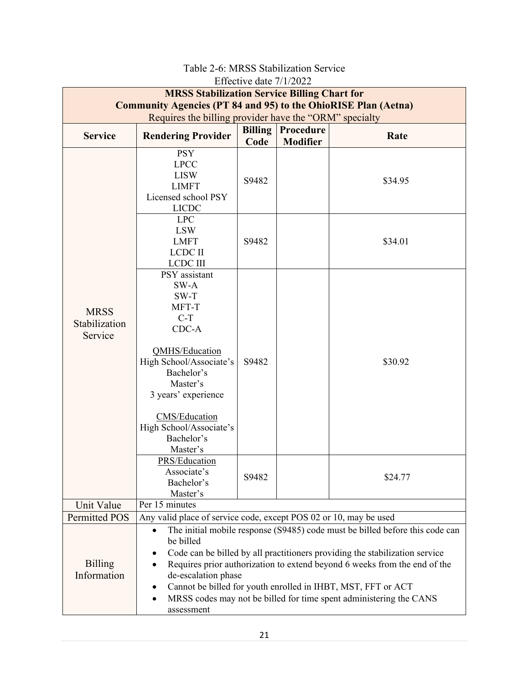<span id="page-25-0"></span>

|                                                                                                                              |                                                                                                                                                                                                                                                                                                                                                                                                                                                                                                                 | $LHCUIVC$ date $1112022$ |                  |                    |  |  |
|------------------------------------------------------------------------------------------------------------------------------|-----------------------------------------------------------------------------------------------------------------------------------------------------------------------------------------------------------------------------------------------------------------------------------------------------------------------------------------------------------------------------------------------------------------------------------------------------------------------------------------------------------------|--------------------------|------------------|--------------------|--|--|
| <b>MRSS Stabilization Service Billing Chart for</b><br><b>Community Agencies (PT 84 and 95) to the OhioRISE Plan (Aetna)</b> |                                                                                                                                                                                                                                                                                                                                                                                                                                                                                                                 |                          |                  |                    |  |  |
| Requires the billing provider have the "ORM" specialty                                                                       |                                                                                                                                                                                                                                                                                                                                                                                                                                                                                                                 |                          |                  |                    |  |  |
| <b>Service</b>                                                                                                               | <b>Rendering Provider</b>                                                                                                                                                                                                                                                                                                                                                                                                                                                                                       | <b>Billing</b>           | <b>Procedure</b> | Rate               |  |  |
|                                                                                                                              |                                                                                                                                                                                                                                                                                                                                                                                                                                                                                                                 | Code                     | <b>Modifier</b>  |                    |  |  |
|                                                                                                                              | <b>PSY</b><br><b>LPCC</b><br><b>LISW</b><br><b>LIMFT</b><br>Licensed school PSY<br><b>LICDC</b>                                                                                                                                                                                                                                                                                                                                                                                                                 | S9482                    |                  | \$34.95            |  |  |
|                                                                                                                              | <b>LPC</b><br><b>LSW</b><br><b>LMFT</b><br><b>LCDC II</b><br><b>LCDC III</b>                                                                                                                                                                                                                                                                                                                                                                                                                                    | S9482                    |                  | \$34.01            |  |  |
| <b>MRSS</b><br>Stabilization<br>Service                                                                                      | PSY assistant<br>SW-A<br>$SW-T$<br>MFT-T<br>$C-T$<br>CDC-A<br>QMHS/Education<br>High School/Associate's<br>Bachelor's<br>Master's<br>3 years' experience<br><b>CMS/Education</b><br>High School/Associate's<br>Bachelor's<br>Master's<br>PRS/Education<br>Associate's<br>Bachelor's                                                                                                                                                                                                                             | S9482<br>S9482           |                  | \$30.92<br>\$24.77 |  |  |
|                                                                                                                              | Master's<br>Per 15 minutes                                                                                                                                                                                                                                                                                                                                                                                                                                                                                      |                          |                  |                    |  |  |
| Unit Value<br><b>Permitted POS</b>                                                                                           |                                                                                                                                                                                                                                                                                                                                                                                                                                                                                                                 |                          |                  |                    |  |  |
| <b>Billing</b><br>Information                                                                                                | Any valid place of service code, except POS 02 or 10, may be used<br>The initial mobile response (S9485) code must be billed before this code can<br>be billed<br>Code can be billed by all practitioners providing the stabilization service<br>Requires prior authorization to extend beyond 6 weeks from the end of the<br>de-escalation phase<br>Cannot be billed for youth enrolled in IHBT, MST, FFT or ACT<br>٠<br>MRSS codes may not be billed for time spent administering the CANS<br>٠<br>assessment |                          |                  |                    |  |  |

#### Table 2-6: MRSS Stabilization Service Effective date 7/1/2022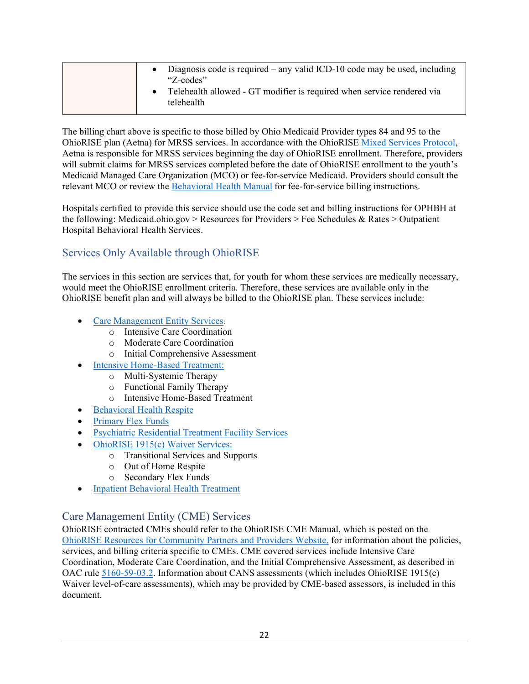| • Diagnosis code is required $-$ any valid ICD-10 code may be used, including<br>"Z-codes"<br>Telehealth allowed - GT modifier is required when service rendered via<br>telehealth |
|------------------------------------------------------------------------------------------------------------------------------------------------------------------------------------|
|------------------------------------------------------------------------------------------------------------------------------------------------------------------------------------|

The billing chart above is specific to those billed by Ohio Medicaid Provider types 84 and 95 to the OhioRISE plan (Aetna) for MRSS services. In accordance with the OhioRISE [Mixed Services Protocol,](https://managedcare.medicaid.ohio.gov/wps/wcm/connect/gov/66beb0f3-0b72-482e-8c17-1c981c175842/OHR+Mixed+Services+Protocol+5.31.2022.pdf?MOD=AJPERES&CVID=o4rc-Pu) Aetna is responsible for MRSS services beginning the day of OhioRISE enrollment. Therefore, providers will submit claims for MRSS services completed before the date of OhioRISE enrollment to the youth's Medicaid Managed Care Organization (MCO) or fee-for-service Medicaid. Providers should consult the relevant MCO or review the [Behavioral Health Manual](https://bh.medicaid.ohio.gov/Portals/0/Providers/Manual/FINAL_BH%20Manual%20v%201_23.pdf?ver=IHXjQvScpr8lU23oIfKCpw%3d%3d) for fee-for-service billing instructions.

Hospitals certified to provide this service should use the code set and billing instructions for OPHBH at the following: Medicaid.ohio.gov > Resources for Providers > Fee Schedules & Rates > Outpatient Hospital Behavioral Health Services.

## <span id="page-26-0"></span>Services Only Available through OhioRISE

The services in this section are services that, for youth for whom these services are medically necessary, would meet the OhioRISE enrollment criteria. Therefore, these services are available only in the OhioRISE benefit plan and will always be billed to the OhioRISE plan. These services include:

- **[Care Management Entity Services](#page-26-1):** 
	- o Intensive Care Coordination
	- o Moderate Care Coordination
	- o Initial Comprehensive Assessment
	- **[Intensive Home-Based Treatment:](#page-27-0)** 
		- o Multi-Systemic Therapy
		- o Functional Family Therapy
		- o Intensive Home-Based Treatment
- [Behavioral Health Respite](#page-28-0)
- [Primary Flex Funds](#page-30-0)
- [Psychiatric Residential Treatment Facility Services](#page-31-1)
- [OhioRISE 1915\(c\) Waiver Services:](#page-31-2)
	- o Transitional Services and Supports
	- o Out of Home Respite
	- o Secondary Flex Funds
- [Inpatient Behavioral Health](#page-38-3) Treatment

### <span id="page-26-1"></span>Care Management Entity (CME) Services

OhioRISE contracted CMEs should refer to the OhioRISE CME Manual, which is posted on the [OhioRISE Resources for Community Partners and Providers Website,](https://managedcare.medicaid.ohio.gov/managed-care/ohiorise/6-Community+and+Provider+Resources) for information about the policies, services, and billing criteria specific to CMEs. CME covered services include Intensive Care Coordination, Moderate Care Coordination, and the Initial Comprehensive Assessment, as described in OAC rule [5160-59-03.2.](https://www.registerofohio.state.oh.us/rules/search/details/320012) Information about CANS assessments (which includes OhioRISE 1915(c) Waiver level-of-care assessments), which may be provided by CME-based assessors, is included in this document.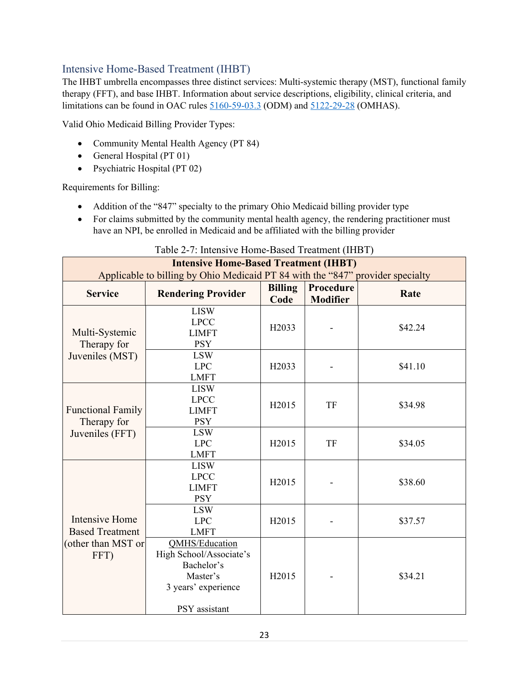## <span id="page-27-0"></span>Intensive Home-Based Treatment (IHBT)

The IHBT umbrella encompasses three distinct services: Multi-systemic therapy (MST), functional family therapy (FFT), and base IHBT. Information about service descriptions, eligibility, clinical criteria, and limitations can be found in OAC rules [5160-59-03.3](https://www.registerofohio.state.oh.us/rules/search/details/319943) (ODM) and [5122-29-28](https://codes.ohio.gov/ohio-administrative-code/rule-5122-29-28) (OMHAS).

Valid Ohio Medicaid Billing Provider Types:

- Community Mental Health Agency (PT 84)
- General Hospital (PT 01)
- Psychiatric Hospital (PT 02)

Requirements for Billing:

- Addition of the "847" specialty to the primary Ohio Medicaid billing provider type
- For claims submitted by the community mental health agency, the rendering practitioner must have an NPI, be enrolled in Medicaid and be affiliated with the billing provider

<span id="page-27-1"></span>

| <b>Intensive Home-Based Treatment (IHBT)</b><br>Applicable to billing by Ohio Medicaid PT 84 with the "847" provider specialty |                                                                                                                    |                        |                              |         |  |  |
|--------------------------------------------------------------------------------------------------------------------------------|--------------------------------------------------------------------------------------------------------------------|------------------------|------------------------------|---------|--|--|
| <b>Service</b>                                                                                                                 | <b>Rendering Provider</b>                                                                                          | <b>Billing</b><br>Code | Procedure<br><b>Modifier</b> | Rate    |  |  |
| Multi-Systemic<br>Therapy for                                                                                                  | <b>LISW</b><br><b>LPCC</b><br><b>LIMFT</b><br><b>PSY</b>                                                           | H <sub>2033</sub>      |                              | \$42.24 |  |  |
| Juveniles (MST)                                                                                                                | <b>LSW</b><br><b>LPC</b><br><b>LMFT</b>                                                                            | H <sub>20</sub> 33     |                              | \$41.10 |  |  |
| <b>Functional Family</b><br>Therapy for<br>Juveniles (FFT)                                                                     | <b>LISW</b><br><b>LPCC</b><br><b>LIMFT</b><br><b>PSY</b>                                                           | H2015                  | TF                           | \$34.98 |  |  |
|                                                                                                                                | <b>LSW</b><br><b>LPC</b><br><b>LMFT</b>                                                                            | H2015                  | <b>TF</b>                    | \$34.05 |  |  |
|                                                                                                                                | <b>LISW</b><br><b>LPCC</b><br><b>LIMFT</b><br><b>PSY</b>                                                           | H2015                  |                              | \$38.60 |  |  |
| <b>Intensive Home</b><br><b>Based Treatment</b><br>(other than MST or<br>FFT)                                                  | <b>LSW</b><br><b>LPC</b><br><b>LMFT</b>                                                                            | H <sub>2015</sub>      |                              | \$37.57 |  |  |
|                                                                                                                                | <b>QMHS/Education</b><br>High School/Associate's<br>Bachelor's<br>Master's<br>3 years' experience<br>PSY assistant | H <sub>2015</sub>      |                              | \$34.21 |  |  |

Table 2-7: Intensive Home-Based Treatment (IHBT)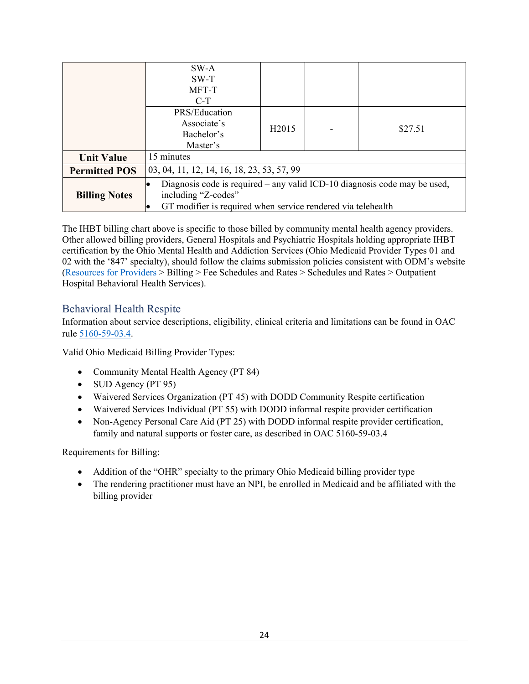|                      | SW-A<br>$SW-T$                                                                                                                                                   |                   |  |         |  |  |  |
|----------------------|------------------------------------------------------------------------------------------------------------------------------------------------------------------|-------------------|--|---------|--|--|--|
|                      | MFT-T                                                                                                                                                            |                   |  |         |  |  |  |
|                      | $C-T$                                                                                                                                                            |                   |  |         |  |  |  |
|                      | PRS/Education                                                                                                                                                    |                   |  |         |  |  |  |
|                      | Associate's                                                                                                                                                      | H <sub>2015</sub> |  | \$27.51 |  |  |  |
|                      | Bachelor's                                                                                                                                                       |                   |  |         |  |  |  |
|                      | Master's                                                                                                                                                         |                   |  |         |  |  |  |
| <b>Unit Value</b>    | 15 minutes                                                                                                                                                       |                   |  |         |  |  |  |
| <b>Permitted POS</b> | 03, 04, 11, 12, 14, 16, 18, 23, 53, 57, 99                                                                                                                       |                   |  |         |  |  |  |
| <b>Billing Notes</b> | Diagnosis code is required – any valid ICD-10 diagnosis code may be used,<br>including "Z-codes"<br>GT modifier is required when service rendered via telehealth |                   |  |         |  |  |  |

The IHBT billing chart above is specific to those billed by community mental health agency providers. Other allowed billing providers, General Hospitals and Psychiatric Hospitals holding appropriate IHBT certification by the Ohio Mental Health and Addiction Services (Ohio Medicaid Provider Types 01 and 02 with the '847' specialty), should follow the claims submission policies consistent with ODM's website [\(Resources for Providers](https://medicaid.ohio.gov/resources-for-providers) > Billing > Fee Schedules and Rates > Schedules and Rates > Outpatient Hospital Behavioral Health Services).

#### <span id="page-28-0"></span>Behavioral Health Respite

Information about service descriptions, eligibility, clinical criteria and limitations can be found in OAC rule [5160-59-03.4.](https://www.registerofohio.state.oh.us/pdfs/5160/0/59/5160-59-03$4_PH_OF_N_RU_20220415_0933.pdf)

Valid Ohio Medicaid Billing Provider Types:

- Community Mental Health Agency (PT 84)
- SUD Agency (PT 95)
- Waivered Services Organization (PT 45) with DODD Community Respite certification
- Waivered Services Individual (PT 55) with DODD informal respite provider certification
- Non-Agency Personal Care Aid (PT 25) with DODD informal respite provider certification, family and natural supports or foster care, as described in OAC 5160-59-03.4

Requirements for Billing:

- Addition of the "OHR" specialty to the primary Ohio Medicaid billing provider type
- The rendering practitioner must have an NPI, be enrolled in Medicaid and be affiliated with the billing provider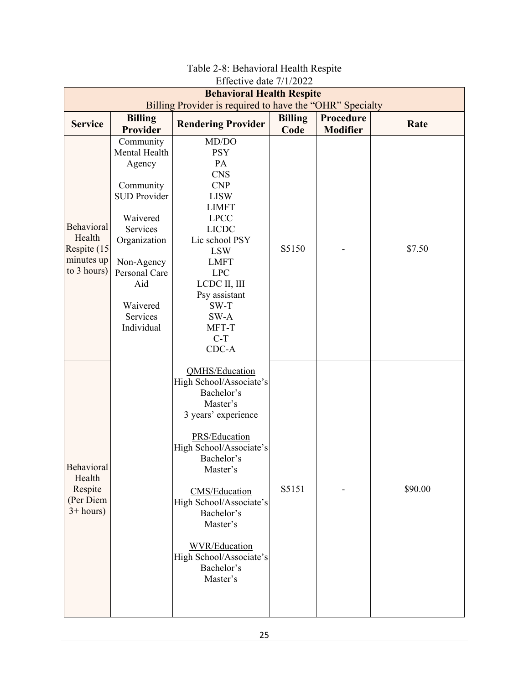<span id="page-29-0"></span>

| <b>LITEURIVE GALE</b> $1112022$                                                              |                                                                                                                                                                                              |                                                                                                                                                                                                                                                                                                                            |                        |                              |         |  |  |
|----------------------------------------------------------------------------------------------|----------------------------------------------------------------------------------------------------------------------------------------------------------------------------------------------|----------------------------------------------------------------------------------------------------------------------------------------------------------------------------------------------------------------------------------------------------------------------------------------------------------------------------|------------------------|------------------------------|---------|--|--|
| <b>Behavioral Health Respite</b><br>Billing Provider is required to have the "OHR" Specialty |                                                                                                                                                                                              |                                                                                                                                                                                                                                                                                                                            |                        |                              |         |  |  |
| <b>Service</b>                                                                               | <b>Billing</b><br>Provider                                                                                                                                                                   | <b>Rendering Provider</b>                                                                                                                                                                                                                                                                                                  | <b>Billing</b><br>Code | Procedure<br><b>Modifier</b> | Rate    |  |  |
| <b>Behavioral</b><br>Health<br>Respite (15)<br>minutes up<br>to 3 hours)                     | Community<br>Mental Health<br>Agency<br>Community<br><b>SUD Provider</b><br>Waivered<br>Services<br>Organization<br>Non-Agency<br>Personal Care<br>Aid<br>Waivered<br>Services<br>Individual | MD/DO<br><b>PSY</b><br>PA<br><b>CNS</b><br>CNP<br><b>LISW</b><br><b>LIMFT</b><br><b>LPCC</b><br><b>LICDC</b><br>Lic school PSY<br><b>LSW</b><br><b>LMFT</b><br><b>LPC</b><br>LCDC II, III<br>Psy assistant<br>SW-T<br>SW-A<br>MFT-T<br>$C-T$<br>CDC-A                                                                      | S5150                  |                              | \$7.50  |  |  |
| <b>Behavioral</b><br>Health<br>Respite<br>(Per Diem<br>$3+ hours)$                           |                                                                                                                                                                                              | QMHS/Education<br>High School/Associate's<br>Bachelor's<br>Master's<br>3 years' experience<br>PRS/Education<br>High School/Associate's<br>Bachelor's<br>Master's<br><b>CMS/Education</b><br>High School/Associate's<br>Bachelor's<br>Master's<br><b>WVR/Education</b><br>High School/Associate's<br>Bachelor's<br>Master's | S5151                  |                              | \$90.00 |  |  |

#### Table 2-8: Behavioral Health Respite Effective date 7/1/2022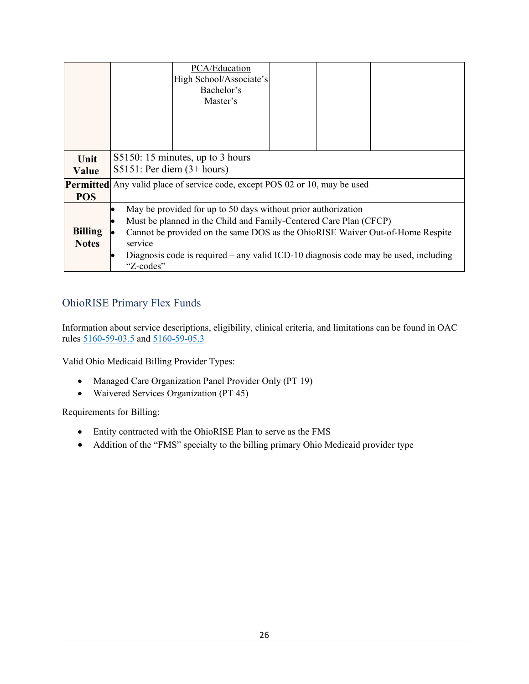|                                | PCA/Education<br>High School/Associate's<br>Bachelor's<br>Master's                                                                                                                                                                                                                                                                 |  |  |  |  |  |  |
|--------------------------------|------------------------------------------------------------------------------------------------------------------------------------------------------------------------------------------------------------------------------------------------------------------------------------------------------------------------------------|--|--|--|--|--|--|
|                                |                                                                                                                                                                                                                                                                                                                                    |  |  |  |  |  |  |
| Unit<br>Value                  | S5150: 15 minutes, up to 3 hours<br>S5151: Per diem $(3+ hours)$                                                                                                                                                                                                                                                                   |  |  |  |  |  |  |
| <b>POS</b>                     | <b>Permitted</b> Any valid place of service code, except POS 02 or 10, may be used                                                                                                                                                                                                                                                 |  |  |  |  |  |  |
| <b>Billing</b><br><b>Notes</b> | May be provided for up to 50 days without prior authorization<br>Must be planned in the Child and Family-Centered Care Plan (CFCP)<br>Cannot be provided on the same DOS as the OhioRISE Waiver Out-of-Home Respite<br>service<br>Diagnosis code is required – any valid ICD-10 diagnosis code may be used, including<br>"Z-codes" |  |  |  |  |  |  |

## <span id="page-30-0"></span>OhioRISE Primary Flex Funds

Information about service descriptions, eligibility, clinical criteria, and limitations can be found in OAC rules [5160-59-03.5](https://www.registerofohio.state.oh.us/rules/search/details/322003) and [5160-59-05.3](https://www.registerofohio.state.oh.us/rules/search/details/322007)

Valid Ohio Medicaid Billing Provider Types:

- Managed Care Organization Panel Provider Only (PT 19)
- Waivered Services Organization (PT 45)

Requirements for Billing:

- Entity contracted with the OhioRISE Plan to serve as the FMS
- Addition of the "FMS" specialty to the billing primary Ohio Medicaid provider type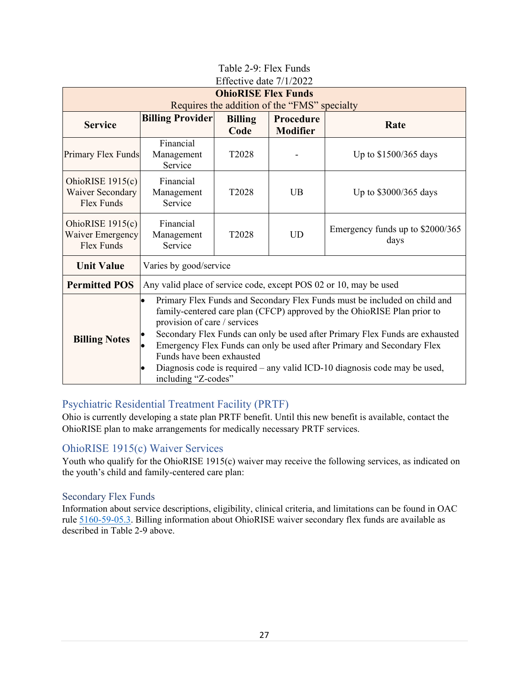<span id="page-31-0"></span>

| $\mathbf{L}$ HCCHVC GatC 77 HZOZZ     |                                                                                        |                   |                 |                                                                              |  |  |  |
|---------------------------------------|----------------------------------------------------------------------------------------|-------------------|-----------------|------------------------------------------------------------------------------|--|--|--|
| <b>OhioRISE Flex Funds</b>            |                                                                                        |                   |                 |                                                                              |  |  |  |
|                                       | Requires the addition of the "FMS" specialty                                           |                   |                 |                                                                              |  |  |  |
| <b>Service</b>                        | <b>Billing Provider</b>                                                                | <b>Billing</b>    | Procedure       | Rate                                                                         |  |  |  |
|                                       |                                                                                        | Code              | <b>Modifier</b> |                                                                              |  |  |  |
|                                       | Financial                                                                              |                   |                 |                                                                              |  |  |  |
| Primary Flex Funds                    | Management                                                                             | T <sub>2028</sub> |                 | Up to \$1500/365 days                                                        |  |  |  |
|                                       | Service                                                                                |                   |                 |                                                                              |  |  |  |
| OhioRISE $1915(c)$                    | Financial                                                                              |                   |                 |                                                                              |  |  |  |
| <b>Waiver Secondary</b><br>Flex Funds | Management                                                                             | T <sub>2028</sub> | <b>UB</b>       | Up to \$3000/365 days                                                        |  |  |  |
|                                       | Service                                                                                |                   |                 |                                                                              |  |  |  |
|                                       |                                                                                        |                   |                 |                                                                              |  |  |  |
| OhioRISE $1915(c)$                    | Financial                                                                              |                   |                 | Emergency funds up to \$2000/365                                             |  |  |  |
| Waiver Emergency                      | Management<br><b>UD</b><br>T <sub>2028</sub><br>Service                                |                   |                 | days                                                                         |  |  |  |
| Flex Funds                            |                                                                                        |                   |                 |                                                                              |  |  |  |
| <b>Unit Value</b>                     | Varies by good/service                                                                 |                   |                 |                                                                              |  |  |  |
| <b>Permitted POS</b>                  | Any valid place of service code, except POS 02 or 10, may be used                      |                   |                 |                                                                              |  |  |  |
|                                       | Primary Flex Funds and Secondary Flex Funds must be included on child and<br>$\bullet$ |                   |                 |                                                                              |  |  |  |
|                                       | family-centered care plan (CFCP) approved by the OhioRISE Plan prior to                |                   |                 |                                                                              |  |  |  |
|                                       | provision of care / services                                                           |                   |                 |                                                                              |  |  |  |
| <b>Billing Notes</b>                  |                                                                                        |                   |                 | Secondary Flex Funds can only be used after Primary Flex Funds are exhausted |  |  |  |
|                                       | Emergency Flex Funds can only be used after Primary and Secondary Flex                 |                   |                 |                                                                              |  |  |  |
|                                       | Funds have been exhausted                                                              |                   |                 |                                                                              |  |  |  |
|                                       |                                                                                        |                   |                 | Diagnosis code is required – any valid ICD-10 diagnosis code may be used,    |  |  |  |
|                                       | including "Z-codes"                                                                    |                   |                 |                                                                              |  |  |  |

#### Table 2-9: Flex Funds Effective date 7/1/2022

## <span id="page-31-1"></span>Psychiatric Residential Treatment Facility (PRTF)

Ohio is currently developing a state plan PRTF benefit. Until this new benefit is available, contact the OhioRISE plan to make arrangements for medically necessary PRTF services.

## <span id="page-31-2"></span>OhioRISE 1915(c) Waiver Services

Youth who qualify for the OhioRISE 1915(c) waiver may receive the following services, as indicated on the youth's child and family-centered care plan:

#### <span id="page-31-3"></span>Secondary Flex Funds

Information about service descriptions, eligibility, clinical criteria, and limitations can be found in OAC rule [5160-59-05.3.](https://www.registerofohio.state.oh.us/rules/search/details/322007) Billing information about OhioRISE waiver secondary flex funds are available as described in Table 2-9 above.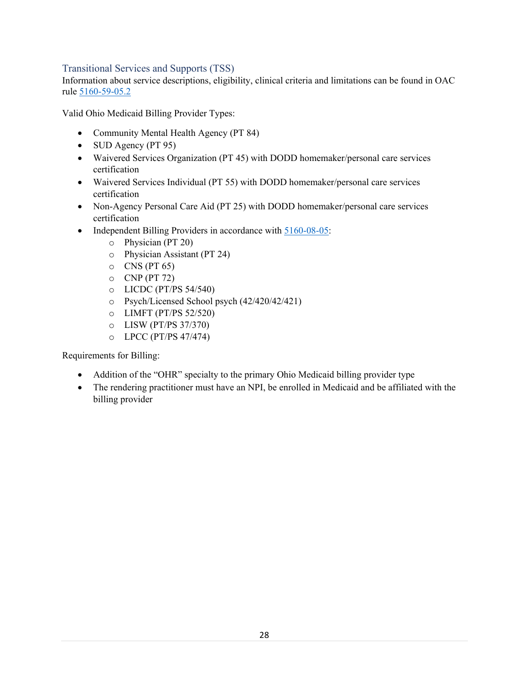#### <span id="page-32-0"></span>Transitional Services and Supports (TSS)

Information about service descriptions, eligibility, clinical criteria and limitations can be found in OAC rule [5160-59-05.2](https://www.registerofohio.state.oh.us/rules/search/details/322006)

Valid Ohio Medicaid Billing Provider Types:

- Community Mental Health Agency (PT 84)
- SUD Agency (PT 95)
- Waivered Services Organization (PT 45) with DODD homemaker/personal care services certification
- Waivered Services Individual (PT 55) with DODD homemaker/personal care services certification
- Non-Agency Personal Care Aid (PT 25) with DODD homemaker/personal care services certification
- Independent Billing Providers in accordance with [5160-08-05:](https://codes.ohio.gov/ohio-administrative-code/rule-5160-8-05)
	- o Physician (PT 20)
	- o Physician Assistant (PT 24)
	- $\circ$  CNS (PT 65)
	- $O$  CNP (PT 72)
	- o LICDC (PT/PS 54/540)
	- o Psych/Licensed School psych (42/420/42/421)
	- o LIMFT (PT/PS 52/520)
	- o LISW (PT/PS 37/370)
	- o LPCC (PT/PS 47/474)

Requirements for Billing:

- Addition of the "OHR" specialty to the primary Ohio Medicaid billing provider type
- The rendering practitioner must have an NPI, be enrolled in Medicaid and be affiliated with the billing provider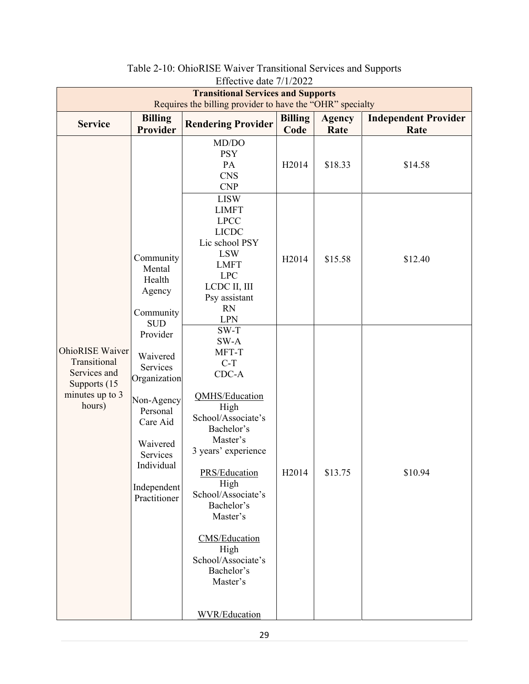<span id="page-33-0"></span>

| Effective date $1/1/2022$                                                                              |                                                                                                                                                                                      |                                                                                                                                                                                                                                                                                                                                                                                       |                        |                       |                                     |  |  |
|--------------------------------------------------------------------------------------------------------|--------------------------------------------------------------------------------------------------------------------------------------------------------------------------------------|---------------------------------------------------------------------------------------------------------------------------------------------------------------------------------------------------------------------------------------------------------------------------------------------------------------------------------------------------------------------------------------|------------------------|-----------------------|-------------------------------------|--|--|
| <b>Transitional Services and Supports</b><br>Requires the billing provider to have the "OHR" specialty |                                                                                                                                                                                      |                                                                                                                                                                                                                                                                                                                                                                                       |                        |                       |                                     |  |  |
| <b>Service</b>                                                                                         | <b>Billing</b><br>Provider                                                                                                                                                           | <b>Rendering Provider</b>                                                                                                                                                                                                                                                                                                                                                             | <b>Billing</b><br>Code | <b>Agency</b><br>Rate | <b>Independent Provider</b><br>Rate |  |  |
| <b>OhioRISE</b> Waiver<br>Transitional<br>Services and<br>Supports (15)<br>minutes up to 3<br>hours)   | Community<br>Mental<br>Health<br>Agency<br>Community<br><b>SUD</b><br>Provider<br>Waivered<br>Services<br>Organization<br>Non-Agency<br>Personal<br>Care Aid<br>Waivered<br>Services | MD/DO<br><b>PSY</b><br>PA<br><b>CNS</b><br>CNP<br><b>LISW</b><br><b>LIMFT</b><br><b>LPCC</b><br><b>LICDC</b><br>Lic school PSY<br><b>LSW</b><br><b>LMFT</b><br><b>LPC</b><br>LCDC II, III<br>Psy assistant<br>RN<br><b>LPN</b><br>$SW-T$<br>SW-A<br>MFT-T<br>$C-T$<br>$CDC-A$<br><b>QMHS/Education</b><br>High<br>School/Associate's<br>Bachelor's<br>Master's<br>3 years' experience | H2014<br>H2014         | \$18.33<br>\$15.58    | \$14.58<br>\$12.40                  |  |  |
|                                                                                                        | Individual<br>Independent<br>Practitioner                                                                                                                                            | PRS/Education<br>High<br>School/Associate's<br>Bachelor's<br>Master's<br><b>CMS/Education</b><br>High<br>School/Associate's                                                                                                                                                                                                                                                           | H2014                  | \$13.75               | \$10.94                             |  |  |
|                                                                                                        |                                                                                                                                                                                      | Bachelor's<br>Master's<br><b>WVR/Education</b>                                                                                                                                                                                                                                                                                                                                        |                        |                       |                                     |  |  |

| Table 2-10: OhioRISE Waiver Transitional Services and Supports |
|----------------------------------------------------------------|
| $\Gamma$ ffootive data $7/1/2022$                              |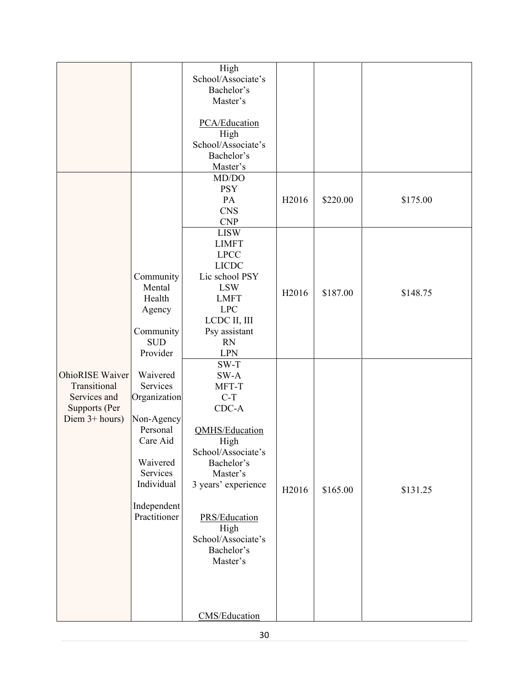|                                                                                              |                                                                                                                                                 | High<br>School/Associate's<br>Bachelor's<br>Master's<br>PCA/Education<br>High<br>School/Associate's<br>Bachelor's<br>Master's<br>MD/DO                                                                                                      |       |          |          |
|----------------------------------------------------------------------------------------------|-------------------------------------------------------------------------------------------------------------------------------------------------|---------------------------------------------------------------------------------------------------------------------------------------------------------------------------------------------------------------------------------------------|-------|----------|----------|
|                                                                                              |                                                                                                                                                 | <b>PSY</b><br>PA<br><b>CNS</b><br><b>CNP</b>                                                                                                                                                                                                | H2016 | \$220.00 | \$175.00 |
|                                                                                              | Community<br>Mental<br>Health<br>Agency<br>Community<br><b>SUD</b><br>Provider                                                                  | <b>LISW</b><br><b>LIMFT</b><br><b>LPCC</b><br><b>LICDC</b><br>Lic school PSY<br><b>LSW</b><br><b>LMFT</b><br><b>LPC</b><br>LCDC II, III<br>Psy assistant<br><b>RN</b><br><b>LPN</b>                                                         | H2016 | \$187.00 | \$148.75 |
| <b>OhioRISE</b> Waiver<br>Transitional<br>Services and<br>Supports (Per<br>Diem $3+ hours$ ) | Waivered<br>Services<br>Organization<br>Non-Agency<br>Personal<br>Care Aid<br>Waivered<br>Services<br>Individual<br>Independent<br>Practitioner | $SW-T$<br>SW-A<br>MFT-T<br>$C-T$<br>CDC-A<br>QMHS/Education<br>High<br>School/Associate's<br>Bachelor's<br>Master's<br>3 years' experience<br>PRS/Education<br>High<br>School/Associate's<br>Bachelor's<br>Master's<br><b>CMS/Education</b> | H2016 | \$165.00 | \$131.25 |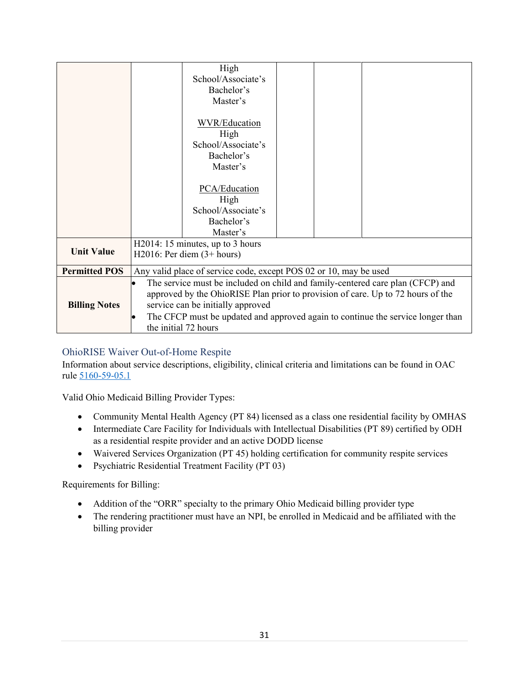|                      |                                                                                                                                                                                                                      | High               |  |  |  |  |
|----------------------|----------------------------------------------------------------------------------------------------------------------------------------------------------------------------------------------------------------------|--------------------|--|--|--|--|
|                      |                                                                                                                                                                                                                      | School/Associate's |  |  |  |  |
|                      |                                                                                                                                                                                                                      | Bachelor's         |  |  |  |  |
|                      |                                                                                                                                                                                                                      | Master's           |  |  |  |  |
|                      |                                                                                                                                                                                                                      |                    |  |  |  |  |
|                      |                                                                                                                                                                                                                      | WVR/Education      |  |  |  |  |
|                      |                                                                                                                                                                                                                      | High               |  |  |  |  |
|                      |                                                                                                                                                                                                                      | School/Associate's |  |  |  |  |
|                      |                                                                                                                                                                                                                      | Bachelor's         |  |  |  |  |
|                      |                                                                                                                                                                                                                      | Master's           |  |  |  |  |
|                      |                                                                                                                                                                                                                      |                    |  |  |  |  |
|                      |                                                                                                                                                                                                                      | PCA/Education      |  |  |  |  |
|                      |                                                                                                                                                                                                                      | High               |  |  |  |  |
|                      |                                                                                                                                                                                                                      | School/Associate's |  |  |  |  |
|                      |                                                                                                                                                                                                                      | Bachelor's         |  |  |  |  |
|                      |                                                                                                                                                                                                                      | Master's           |  |  |  |  |
|                      | H2014: 15 minutes, up to 3 hours                                                                                                                                                                                     |                    |  |  |  |  |
| <b>Unit Value</b>    | $H2016$ : Per diem $(3+ hours)$                                                                                                                                                                                      |                    |  |  |  |  |
| <b>Permitted POS</b> | Any valid place of service code, except POS 02 or 10, may be used                                                                                                                                                    |                    |  |  |  |  |
|                      | The service must be included on child and family-centered care plan (CFCP) and                                                                                                                                       |                    |  |  |  |  |
|                      | approved by the OhioRISE Plan prior to provision of care. Up to 72 hours of the<br>service can be initially approved<br>The CFCP must be updated and approved again to continue the service longer than<br>$\bullet$ |                    |  |  |  |  |
| <b>Billing Notes</b> |                                                                                                                                                                                                                      |                    |  |  |  |  |
|                      |                                                                                                                                                                                                                      |                    |  |  |  |  |
|                      | the initial 72 hours                                                                                                                                                                                                 |                    |  |  |  |  |

### <span id="page-35-0"></span>OhioRISE Waiver Out-of-Home Respite

Information about service descriptions, eligibility, clinical criteria and limitations can be found in OAC rule [5160-59-05.1](https://www.registerofohio.state.oh.us/rules/search/details/322005)

Valid Ohio Medicaid Billing Provider Types:

- Community Mental Health Agency (PT 84) licensed as a class one residential facility by OMHAS
- Intermediate Care Facility for Individuals with Intellectual Disabilities (PT 89) certified by ODH as a residential respite provider and an active DODD license
- Waivered Services Organization (PT 45) holding certification for community respite services
- Psychiatric Residential Treatment Facility (PT 03)

Requirements for Billing:

- Addition of the "ORR" specialty to the primary Ohio Medicaid billing provider type
- The rendering practitioner must have an NPI, be enrolled in Medicaid and be affiliated with the billing provider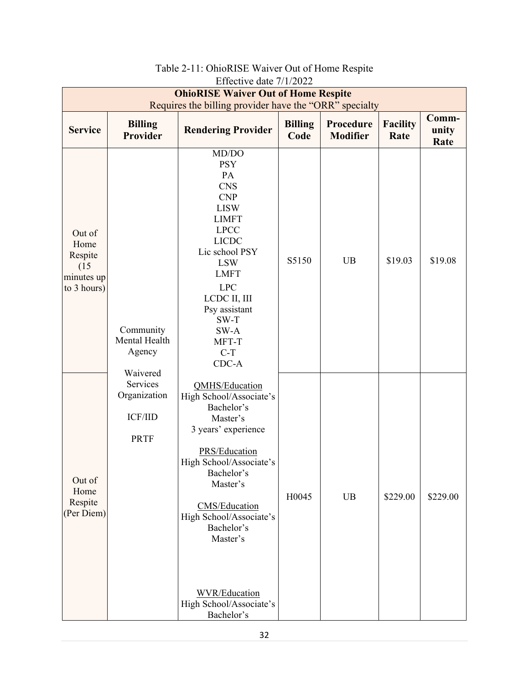<span id="page-36-0"></span>

| <b>OhioRISE Waiver Out of Home Respite</b><br>Requires the billing provider have the "ORR" specialty |                                                           |                                                                                                                                                                                                                                                                                                         |                        |                              |                         |                        |
|------------------------------------------------------------------------------------------------------|-----------------------------------------------------------|---------------------------------------------------------------------------------------------------------------------------------------------------------------------------------------------------------------------------------------------------------------------------------------------------------|------------------------|------------------------------|-------------------------|------------------------|
| <b>Service</b>                                                                                       | <b>Billing</b><br><b>Provider</b>                         | <b>Rendering Provider</b>                                                                                                                                                                                                                                                                               | <b>Billing</b><br>Code | Procedure<br><b>Modifier</b> | <b>Facility</b><br>Rate | Comm-<br>unity<br>Rate |
| Out of<br>Home<br>Respite<br>(15)<br>minutes up<br>to 3 hours)                                       | Community<br>Mental Health<br>Agency<br>Waivered          | MD/DO<br><b>PSY</b><br>PA<br><b>CNS</b><br>CNP<br><b>LISW</b><br><b>LIMFT</b><br><b>LPCC</b><br><b>LICDC</b><br>Lic school PSY<br><b>LSW</b><br><b>LMFT</b><br><b>LPC</b><br>LCDC II, III<br>Psy assistant<br>$SW-T$<br>$SW-A$<br>MFT-T<br>$C-T$<br>$CDC-A$                                             | S5150                  | <b>UB</b>                    | \$19.03                 | \$19.08                |
| Out of<br>Home<br>Respite<br>(Per Diem)                                                              | Services<br>Organization<br><b>ICF/IID</b><br><b>PRTF</b> | QMHS/Education<br>High School/Associate's<br>Bachelor's<br>Master's<br>3 years' experience<br>PRS/Education<br>High School/Associate's<br>Bachelor's<br>Master's<br>CMS/Education<br>High School/Associate's<br>Bachelor's<br>Master's<br><b>WVR/Education</b><br>High School/Associate's<br>Bachelor's | H0045                  | UB                           | \$229.00                | \$229.00               |

#### Table 2-11: OhioRISE Waiver Out of Home Respite Effective date 7/1/2022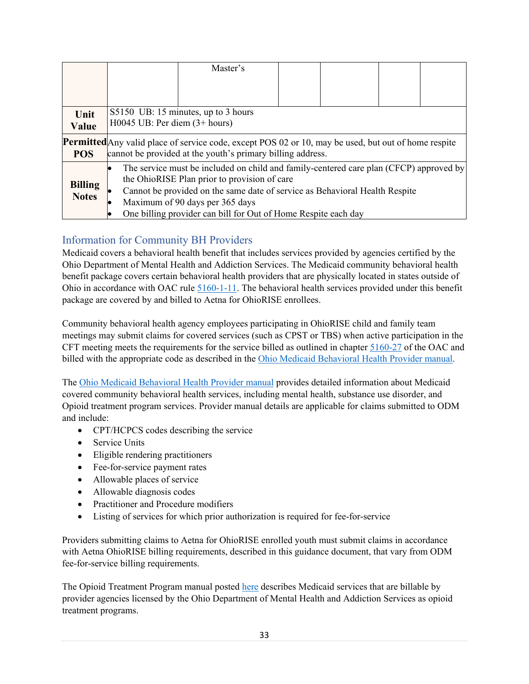|                                |                                                                                                                                                                           | Master's                                                                                                                                                                                                                                                                                                                   |  |  |  |  |
|--------------------------------|---------------------------------------------------------------------------------------------------------------------------------------------------------------------------|----------------------------------------------------------------------------------------------------------------------------------------------------------------------------------------------------------------------------------------------------------------------------------------------------------------------------|--|--|--|--|
|                                |                                                                                                                                                                           |                                                                                                                                                                                                                                                                                                                            |  |  |  |  |
| Unit<br>Value                  | S5150 UB: 15 minutes, up to 3 hours<br>$H0045$ UB: Per diem $(3+$ hours)                                                                                                  |                                                                                                                                                                                                                                                                                                                            |  |  |  |  |
| <b>POS</b>                     | <b>Permitted</b> Any valid place of service code, except POS 02 or 10, may be used, but out of home respite<br>cannot be provided at the youth's primary billing address. |                                                                                                                                                                                                                                                                                                                            |  |  |  |  |
| <b>Billing</b><br><b>Notes</b> |                                                                                                                                                                           | The service must be included on child and family-centered care plan (CFCP) approved by<br>the OhioRISE Plan prior to provision of care<br>Cannot be provided on the same date of service as Behavioral Health Respite<br>Maximum of 90 days per 365 days<br>One billing provider can bill for Out of Home Respite each day |  |  |  |  |

## <span id="page-37-0"></span>Information for Community BH Providers

Medicaid covers a behavioral health benefit that includes services provided by agencies certified by the Ohio Department of Mental Health and Addiction Services. The Medicaid community behavioral health benefit package covers certain behavioral health providers that are physically located in states outside of Ohio in accordance with OAC rule [5160-1-11.](https://codes.ohio.gov/ohio-administrative-code/rule-5160-1-11) The behavioral health services provided under this benefit package are covered by and billed to Aetna for OhioRISE enrollees.

Community behavioral health agency employees participating in OhioRISE child and family team meetings may submit claims for covered services (such as CPST or TBS) when active participation in the CFT meeting meets the requirements for the service billed as outlined in chapter [5160-27](https://codes.ohio.gov/ohio-administrative-code/chapter-5160-27) of the OAC and billed with the appropriate code as described in the [Ohio Medicaid Behavioral Health Provider manual.](https://bh.medicaid.ohio.gov/Portals/0/Providers/Manual/FINAL_BH%20Manual%20v%201_23.pdf?ver=IHXjQvScpr8lU23oIfKCpw%3d%3d)

The [Ohio Medicaid Behavioral Health Provider manual](https://bh.medicaid.ohio.gov/Portals/0/Providers/Manual/FINAL_BH%20Manual%20v%201_23.pdf?ver=IHXjQvScpr8lU23oIfKCpw%3d%3d) provides detailed information about Medicaid covered community behavioral health services, including mental health, substance use disorder, and Opioid treatment program services. Provider manual details are applicable for claims submitted to ODM and include:

- CPT/HCPCS codes describing the service
- Service Units
- Eligible rendering practitioners
- Fee-for-service payment rates
- Allowable places of service
- Allowable diagnosis codes
- Practitioner and Procedure modifiers
- Listing of services for which prior authorization is required for fee-for-service

Providers submitting claims to Aetna for OhioRISE enrolled youth must submit claims in accordance with Aetna OhioRISE billing requirements, described in this guidance document, that vary from ODM fee-for-service billing requirements.

The Opioid Treatment Program manual posted [here](https://bh.medicaid.ohio.gov/Portals/0/OTP%20Manual%20Version%201_4%2012-21-21.pdf) describes Medicaid services that are billable by provider agencies licensed by the Ohio Department of Mental Health and Addiction Services as opioid treatment programs.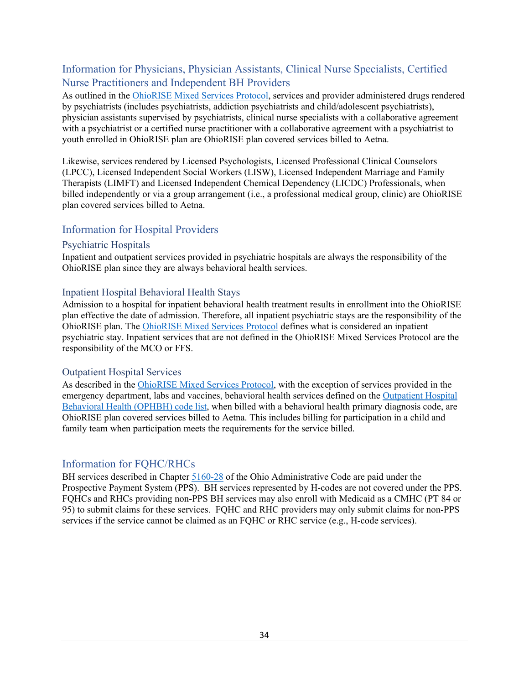## <span id="page-38-0"></span>Information for Physicians, Physician Assistants, Clinical Nurse Specialists, Certified Nurse Practitioners and Independent BH Providers

As outlined in the [OhioRISE Mixed Services Protocol,](https://managedcare.medicaid.ohio.gov/wps/wcm/connect/gov/66beb0f3-0b72-482e-8c17-1c981c175842/OHR+Mixed+Services+Protocol+5.31.2022.pdf?MOD=AJPERES&CVID=o4rc-Pu) services and provider administered drugs rendered by psychiatrists (includes psychiatrists, addiction psychiatrists and child/adolescent psychiatrists), physician assistants supervised by psychiatrists, clinical nurse specialists with a collaborative agreement with a psychiatrist or a certified nurse practitioner with a collaborative agreement with a psychiatrist to youth enrolled in OhioRISE plan are OhioRISE plan covered services billed to Aetna.

Likewise, services rendered by Licensed Psychologists, Licensed Professional Clinical Counselors (LPCC), Licensed Independent Social Workers (LISW), Licensed Independent Marriage and Family Therapists (LIMFT) and Licensed Independent Chemical Dependency (LICDC) Professionals, when billed independently or via a group arrangement (i.e., a professional medical group, clinic) are OhioRISE plan covered services billed to Aetna.

#### <span id="page-38-1"></span>Information for Hospital Providers

#### <span id="page-38-2"></span>Psychiatric Hospitals

Inpatient and outpatient services provided in psychiatric hospitals are always the responsibility of the OhioRISE plan since they are always behavioral health services.

#### <span id="page-38-3"></span>Inpatient Hospital Behavioral Health Stays

Admission to a hospital for inpatient behavioral health treatment results in enrollment into the OhioRISE plan effective the date of admission. Therefore, all inpatient psychiatric stays are the responsibility of the OhioRISE plan. The [OhioRISE Mixed Services Protocol](https://managedcare.medicaid.ohio.gov/wps/wcm/connect/gov/66beb0f3-0b72-482e-8c17-1c981c175842/OHR+Mixed+Services+Protocol+5.31.2022.pdf?MOD=AJPERES&CVID=o4rc-Pu) defines what is considered an inpatient psychiatric stay. Inpatient services that are not defined in the OhioRISE Mixed Services Protocol are the responsibility of the MCO or FFS.

#### <span id="page-38-4"></span>Outpatient Hospital Services

As described in the [OhioRISE Mixed Services](https://managedcare.medicaid.ohio.gov/wps/wcm/connect/gov/66beb0f3-0b72-482e-8c17-1c981c175842/OHR+Mixed+Services+Protocol+5.31.2022.pdf?MOD=AJPERES&CVID=o4rc-Pu) Protocol, with the exception of services provided in the emergency department, labs and vaccines, behavioral health services defined on the [Outpatient Hospital](https://medicaid.ohio.gov/resources-for-providers/billing/fee-schedule-and-rates/schedules-and-rates)  [Behavioral Health \(OPHBH\) code list,](https://medicaid.ohio.gov/resources-for-providers/billing/fee-schedule-and-rates/schedules-and-rates) when billed with a behavioral health primary diagnosis code, are OhioRISE plan covered services billed to Aetna. This includes billing for participation in a child and family team when participation meets the requirements for the service billed.

#### <span id="page-38-5"></span>Information for FQHC/RHCs

BH services described in Chapter [5160-28](https://codes.ohio.gov/ohio-administrative-code/chapter-5160-28) of the Ohio Administrative Code are paid under the Prospective Payment System (PPS). BH services represented by H-codes are not covered under the PPS. FQHCs and RHCs providing non-PPS BH services may also enroll with Medicaid as a CMHC (PT 84 or 95) to submit claims for these services. FQHC and RHC providers may only submit claims for non-PPS services if the service cannot be claimed as an FOHC or RHC service (e.g., H-code services).